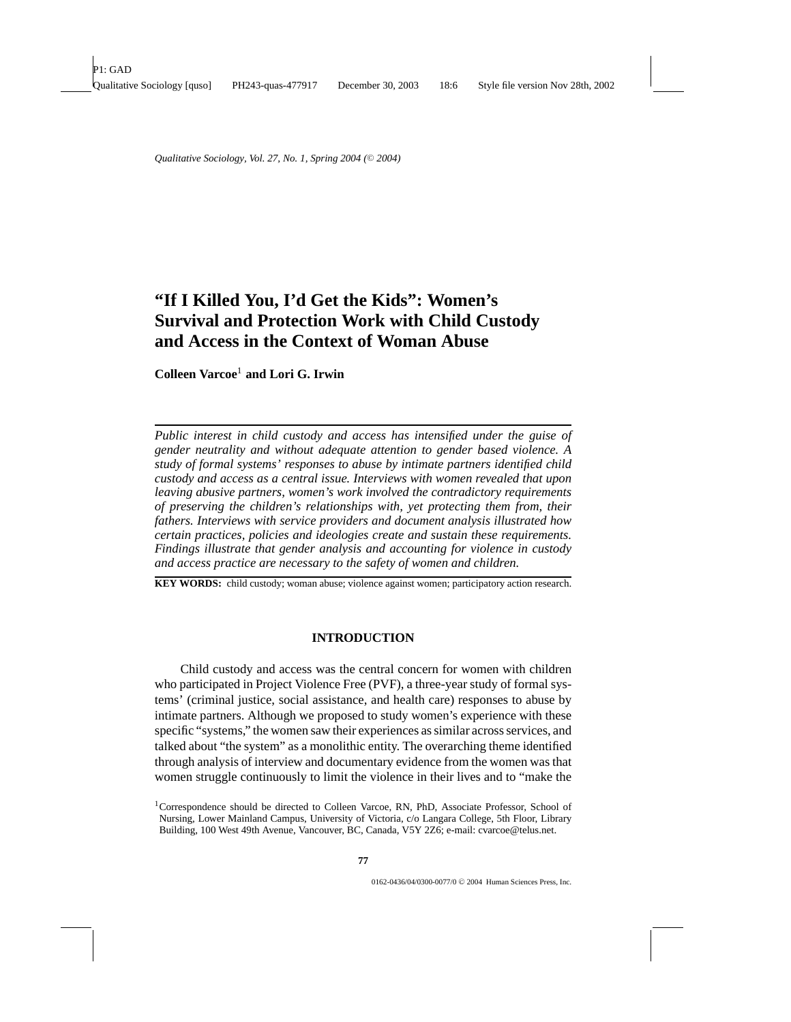# **"If I Killed You, I'd Get the Kids": Women's Survival and Protection Work with Child Custody and Access in the Context of Woman Abuse**

**Colleen Varcoe**<sup>1</sup> **and Lori G. Irwin**

*Public interest in child custody and access has intensified under the guise of gender neutrality and without adequate attention to gender based violence. A study of formal systems' responses to abuse by intimate partners identified child custody and access as a central issue. Interviews with women revealed that upon leaving abusive partners, women's work involved the contradictory requirements of preserving the children's relationships with, yet protecting them from, their fathers. Interviews with service providers and document analysis illustrated how certain practices, policies and ideologies create and sustain these requirements. Findings illustrate that gender analysis and accounting for violence in custody and access practice are necessary to the safety of women and children.*

**KEY WORDS:** child custody; woman abuse; violence against women; participatory action research.

## **INTRODUCTION**

Child custody and access was the central concern for women with children who participated in Project Violence Free (PVF), a three-year study of formal systems' (criminal justice, social assistance, and health care) responses to abuse by intimate partners. Although we proposed to study women's experience with these specific "systems," the women saw their experiences as similar across services, and talked about "the system" as a monolithic entity. The overarching theme identified through analysis of interview and documentary evidence from the women was that women struggle continuously to limit the violence in their lives and to "make the

<sup>&</sup>lt;sup>1</sup>Correspondence should be directed to Colleen Varcoe, RN, PhD, Associate Professor, School of Nursing, Lower Mainland Campus, University of Victoria, c/o Langara College, 5th Floor, Library Building, 100 West 49th Avenue, Vancouver, BC, Canada, V5Y 2Z6; e-mail: cvarcoe@telus.net.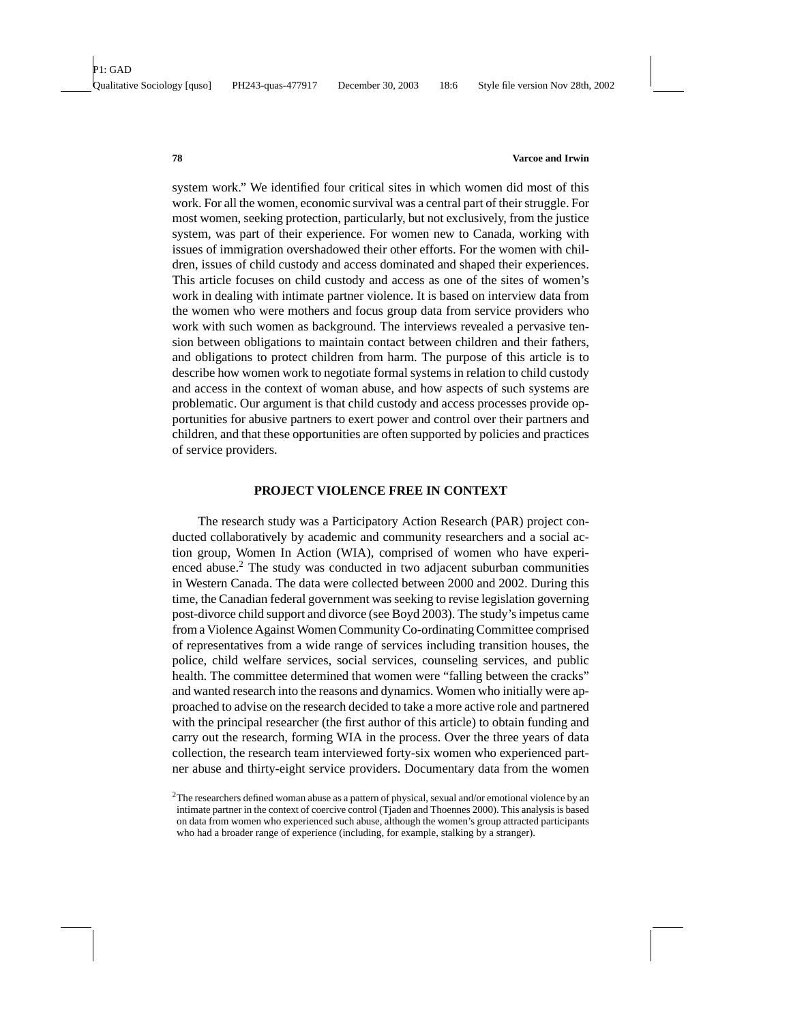system work." We identified four critical sites in which women did most of this work. For all the women, economic survival was a central part of their struggle. For most women, seeking protection, particularly, but not exclusively, from the justice system, was part of their experience. For women new to Canada, working with issues of immigration overshadowed their other efforts. For the women with children, issues of child custody and access dominated and shaped their experiences. This article focuses on child custody and access as one of the sites of women's work in dealing with intimate partner violence. It is based on interview data from the women who were mothers and focus group data from service providers who work with such women as background. The interviews revealed a pervasive tension between obligations to maintain contact between children and their fathers, and obligations to protect children from harm. The purpose of this article is to describe how women work to negotiate formal systems in relation to child custody and access in the context of woman abuse, and how aspects of such systems are problematic. Our argument is that child custody and access processes provide opportunities for abusive partners to exert power and control over their partners and children, and that these opportunities are often supported by policies and practices of service providers.

# **PROJECT VIOLENCE FREE IN CONTEXT**

The research study was a Participatory Action Research (PAR) project conducted collaboratively by academic and community researchers and a social action group, Women In Action (WIA), comprised of women who have experienced abuse.2 The study was conducted in two adjacent suburban communities in Western Canada. The data were collected between 2000 and 2002. During this time, the Canadian federal government was seeking to revise legislation governing post-divorce child support and divorce (see Boyd 2003). The study's impetus came from a Violence Against Women Community Co-ordinating Committee comprised of representatives from a wide range of services including transition houses, the police, child welfare services, social services, counseling services, and public health. The committee determined that women were "falling between the cracks" and wanted research into the reasons and dynamics. Women who initially were approached to advise on the research decided to take a more active role and partnered with the principal researcher (the first author of this article) to obtain funding and carry out the research, forming WIA in the process. Over the three years of data collection, the research team interviewed forty-six women who experienced partner abuse and thirty-eight service providers. Documentary data from the women

<sup>2</sup>The researchers defined woman abuse as a pattern of physical, sexual and/or emotional violence by an intimate partner in the context of coercive control (Tjaden and Thoennes 2000). This analysis is based on data from women who experienced such abuse, although the women's group attracted participants who had a broader range of experience (including, for example, stalking by a stranger).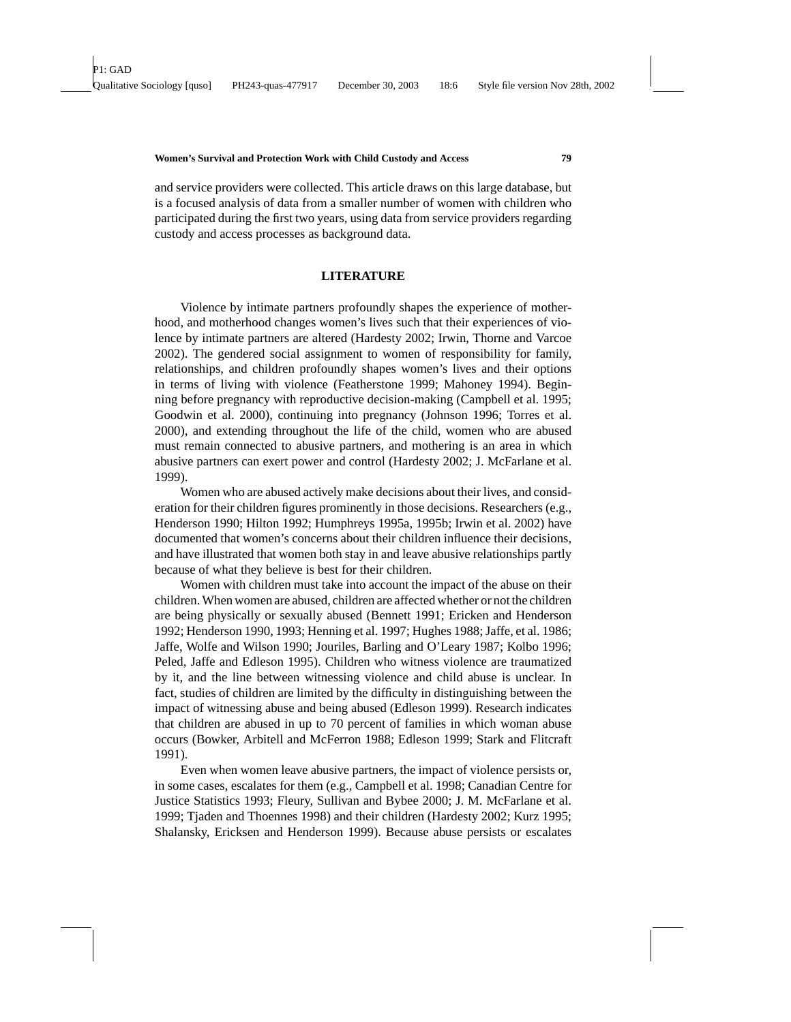and service providers were collected. This article draws on this large database, but is a focused analysis of data from a smaller number of women with children who participated during the first two years, using data from service providers regarding custody and access processes as background data.

#### **LITERATURE**

Violence by intimate partners profoundly shapes the experience of motherhood, and motherhood changes women's lives such that their experiences of violence by intimate partners are altered (Hardesty 2002; Irwin, Thorne and Varcoe 2002). The gendered social assignment to women of responsibility for family, relationships, and children profoundly shapes women's lives and their options in terms of living with violence (Featherstone 1999; Mahoney 1994). Beginning before pregnancy with reproductive decision-making (Campbell et al. 1995; Goodwin et al. 2000), continuing into pregnancy (Johnson 1996; Torres et al. 2000), and extending throughout the life of the child, women who are abused must remain connected to abusive partners, and mothering is an area in which abusive partners can exert power and control (Hardesty 2002; J. McFarlane et al. 1999).

Women who are abused actively make decisions about their lives, and consideration for their children figures prominently in those decisions. Researchers (e.g., Henderson 1990; Hilton 1992; Humphreys 1995a, 1995b; Irwin et al. 2002) have documented that women's concerns about their children influence their decisions, and have illustrated that women both stay in and leave abusive relationships partly because of what they believe is best for their children.

Women with children must take into account the impact of the abuse on their children. When women are abused, children are affected whether or not the children are being physically or sexually abused (Bennett 1991; Ericken and Henderson 1992; Henderson 1990, 1993; Henning et al. 1997; Hughes 1988; Jaffe, et al. 1986; Jaffe, Wolfe and Wilson 1990; Jouriles, Barling and O'Leary 1987; Kolbo 1996; Peled, Jaffe and Edleson 1995). Children who witness violence are traumatized by it, and the line between witnessing violence and child abuse is unclear. In fact, studies of children are limited by the difficulty in distinguishing between the impact of witnessing abuse and being abused (Edleson 1999). Research indicates that children are abused in up to 70 percent of families in which woman abuse occurs (Bowker, Arbitell and McFerron 1988; Edleson 1999; Stark and Flitcraft 1991).

Even when women leave abusive partners, the impact of violence persists or, in some cases, escalates for them (e.g., Campbell et al. 1998; Canadian Centre for Justice Statistics 1993; Fleury, Sullivan and Bybee 2000; J. M. McFarlane et al. 1999; Tjaden and Thoennes 1998) and their children (Hardesty 2002; Kurz 1995; Shalansky, Ericksen and Henderson 1999). Because abuse persists or escalates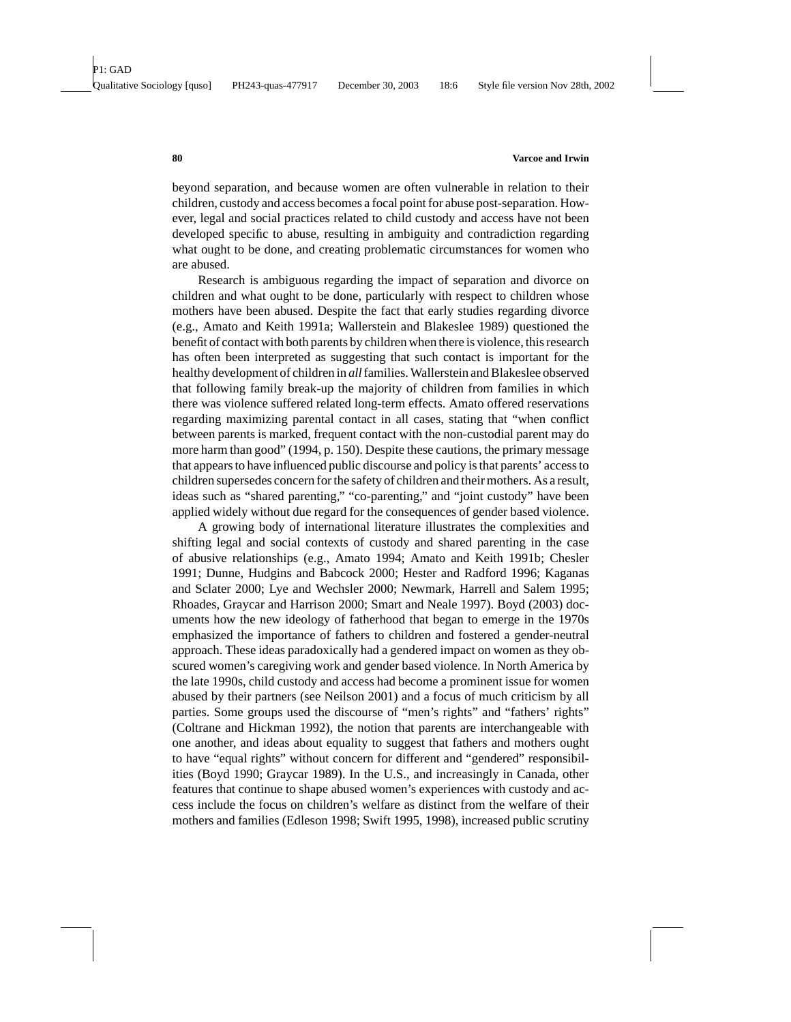beyond separation, and because women are often vulnerable in relation to their children, custody and access becomes a focal point for abuse post-separation. However, legal and social practices related to child custody and access have not been developed specific to abuse, resulting in ambiguity and contradiction regarding what ought to be done, and creating problematic circumstances for women who are abused.

Research is ambiguous regarding the impact of separation and divorce on children and what ought to be done, particularly with respect to children whose mothers have been abused. Despite the fact that early studies regarding divorce (e.g., Amato and Keith 1991a; Wallerstein and Blakeslee 1989) questioned the benefit of contact with both parents by children when there is violence, this research has often been interpreted as suggesting that such contact is important for the healthy development of children in *all*families. Wallerstein and Blakeslee observed that following family break-up the majority of children from families in which there was violence suffered related long-term effects. Amato offered reservations regarding maximizing parental contact in all cases, stating that "when conflict between parents is marked, frequent contact with the non-custodial parent may do more harm than good" (1994, p. 150). Despite these cautions, the primary message that appears to have influenced public discourse and policy is that parents' access to children supersedes concern for the safety of children and their mothers. As a result, ideas such as "shared parenting," "co-parenting," and "joint custody" have been applied widely without due regard for the consequences of gender based violence.

A growing body of international literature illustrates the complexities and shifting legal and social contexts of custody and shared parenting in the case of abusive relationships (e.g., Amato 1994; Amato and Keith 1991b; Chesler 1991; Dunne, Hudgins and Babcock 2000; Hester and Radford 1996; Kaganas and Sclater 2000; Lye and Wechsler 2000; Newmark, Harrell and Salem 1995; Rhoades, Graycar and Harrison 2000; Smart and Neale 1997). Boyd (2003) documents how the new ideology of fatherhood that began to emerge in the 1970s emphasized the importance of fathers to children and fostered a gender-neutral approach. These ideas paradoxically had a gendered impact on women as they obscured women's caregiving work and gender based violence. In North America by the late 1990s, child custody and access had become a prominent issue for women abused by their partners (see Neilson 2001) and a focus of much criticism by all parties. Some groups used the discourse of "men's rights" and "fathers' rights" (Coltrane and Hickman 1992), the notion that parents are interchangeable with one another, and ideas about equality to suggest that fathers and mothers ought to have "equal rights" without concern for different and "gendered" responsibilities (Boyd 1990; Graycar 1989). In the U.S., and increasingly in Canada, other features that continue to shape abused women's experiences with custody and access include the focus on children's welfare as distinct from the welfare of their mothers and families (Edleson 1998; Swift 1995, 1998), increased public scrutiny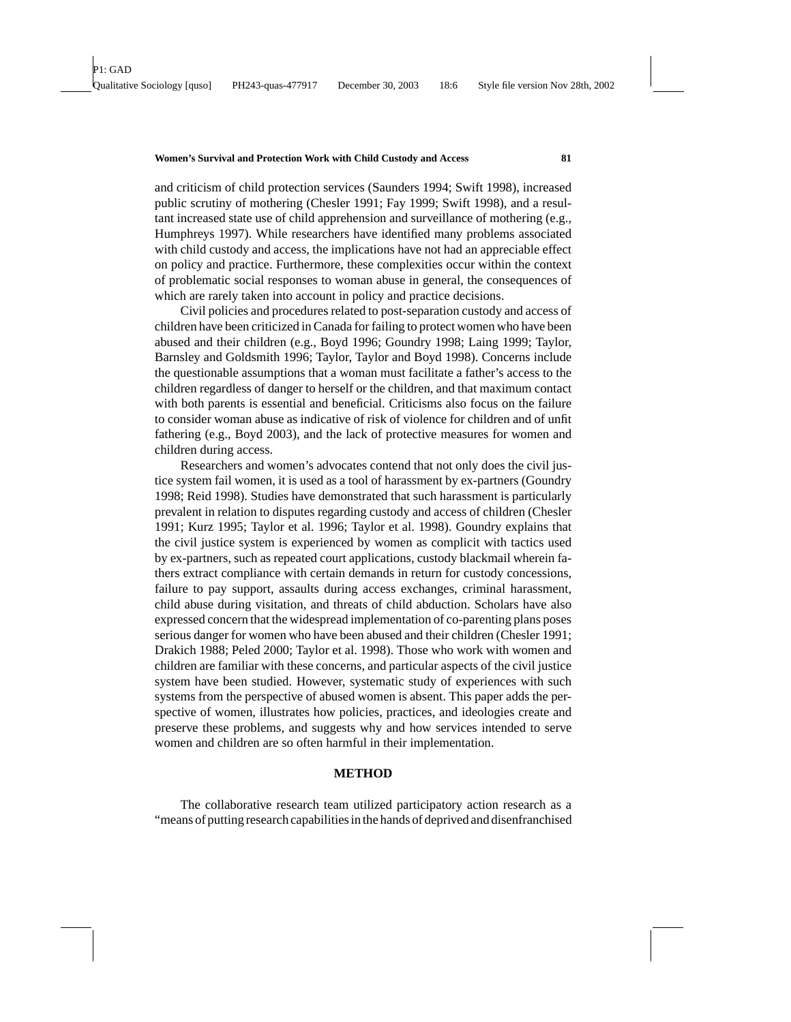and criticism of child protection services (Saunders 1994; Swift 1998), increased public scrutiny of mothering (Chesler 1991; Fay 1999; Swift 1998), and a resultant increased state use of child apprehension and surveillance of mothering (e.g., Humphreys 1997). While researchers have identified many problems associated with child custody and access, the implications have not had an appreciable effect on policy and practice. Furthermore, these complexities occur within the context of problematic social responses to woman abuse in general, the consequences of which are rarely taken into account in policy and practice decisions.

Civil policies and procedures related to post-separation custody and access of children have been criticized in Canada for failing to protect women who have been abused and their children (e.g., Boyd 1996; Goundry 1998; Laing 1999; Taylor, Barnsley and Goldsmith 1996; Taylor, Taylor and Boyd 1998). Concerns include the questionable assumptions that a woman must facilitate a father's access to the children regardless of danger to herself or the children, and that maximum contact with both parents is essential and beneficial. Criticisms also focus on the failure to consider woman abuse as indicative of risk of violence for children and of unfit fathering (e.g., Boyd 2003), and the lack of protective measures for women and children during access.

Researchers and women's advocates contend that not only does the civil justice system fail women, it is used as a tool of harassment by ex-partners (Goundry 1998; Reid 1998). Studies have demonstrated that such harassment is particularly prevalent in relation to disputes regarding custody and access of children (Chesler 1991; Kurz 1995; Taylor et al. 1996; Taylor et al. 1998). Goundry explains that the civil justice system is experienced by women as complicit with tactics used by ex-partners, such as repeated court applications, custody blackmail wherein fathers extract compliance with certain demands in return for custody concessions, failure to pay support, assaults during access exchanges, criminal harassment, child abuse during visitation, and threats of child abduction. Scholars have also expressed concern that the widespread implementation of co-parenting plans poses serious danger for women who have been abused and their children (Chesler 1991; Drakich 1988; Peled 2000; Taylor et al. 1998). Those who work with women and children are familiar with these concerns, and particular aspects of the civil justice system have been studied. However, systematic study of experiences with such systems from the perspective of abused women is absent. This paper adds the perspective of women, illustrates how policies, practices, and ideologies create and preserve these problems, and suggests why and how services intended to serve women and children are so often harmful in their implementation.

## **METHOD**

The collaborative research team utilized participatory action research as a "means of putting research capabilities in the hands of deprived and disenfranchised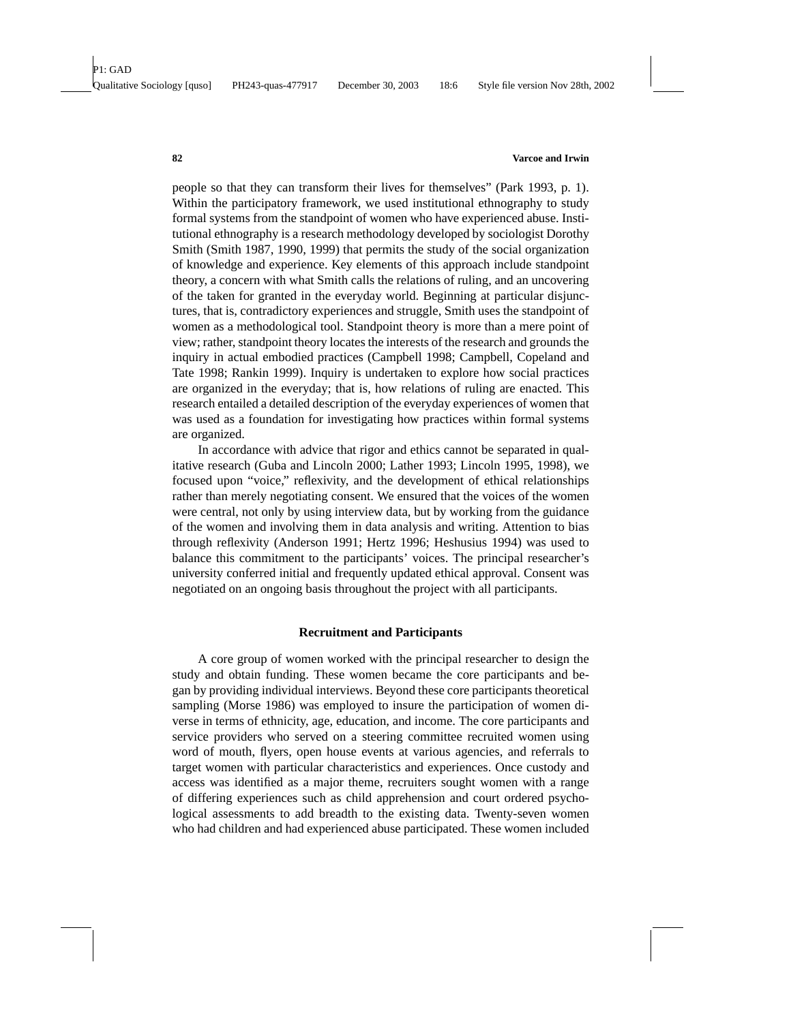people so that they can transform their lives for themselves" (Park 1993, p. 1). Within the participatory framework, we used institutional ethnography to study formal systems from the standpoint of women who have experienced abuse. Institutional ethnography is a research methodology developed by sociologist Dorothy Smith (Smith 1987, 1990, 1999) that permits the study of the social organization of knowledge and experience. Key elements of this approach include standpoint theory, a concern with what Smith calls the relations of ruling, and an uncovering of the taken for granted in the everyday world. Beginning at particular disjunctures, that is, contradictory experiences and struggle, Smith uses the standpoint of women as a methodological tool. Standpoint theory is more than a mere point of view; rather, standpoint theory locates the interests of the research and grounds the inquiry in actual embodied practices (Campbell 1998; Campbell, Copeland and Tate 1998; Rankin 1999). Inquiry is undertaken to explore how social practices are organized in the everyday; that is, how relations of ruling are enacted. This research entailed a detailed description of the everyday experiences of women that was used as a foundation for investigating how practices within formal systems are organized.

In accordance with advice that rigor and ethics cannot be separated in qualitative research (Guba and Lincoln 2000; Lather 1993; Lincoln 1995, 1998), we focused upon "voice," reflexivity, and the development of ethical relationships rather than merely negotiating consent. We ensured that the voices of the women were central, not only by using interview data, but by working from the guidance of the women and involving them in data analysis and writing. Attention to bias through reflexivity (Anderson 1991; Hertz 1996; Heshusius 1994) was used to balance this commitment to the participants' voices. The principal researcher's university conferred initial and frequently updated ethical approval. Consent was negotiated on an ongoing basis throughout the project with all participants.

#### **Recruitment and Participants**

A core group of women worked with the principal researcher to design the study and obtain funding. These women became the core participants and began by providing individual interviews. Beyond these core participants theoretical sampling (Morse 1986) was employed to insure the participation of women diverse in terms of ethnicity, age, education, and income. The core participants and service providers who served on a steering committee recruited women using word of mouth, flyers, open house events at various agencies, and referrals to target women with particular characteristics and experiences. Once custody and access was identified as a major theme, recruiters sought women with a range of differing experiences such as child apprehension and court ordered psychological assessments to add breadth to the existing data. Twenty-seven women who had children and had experienced abuse participated. These women included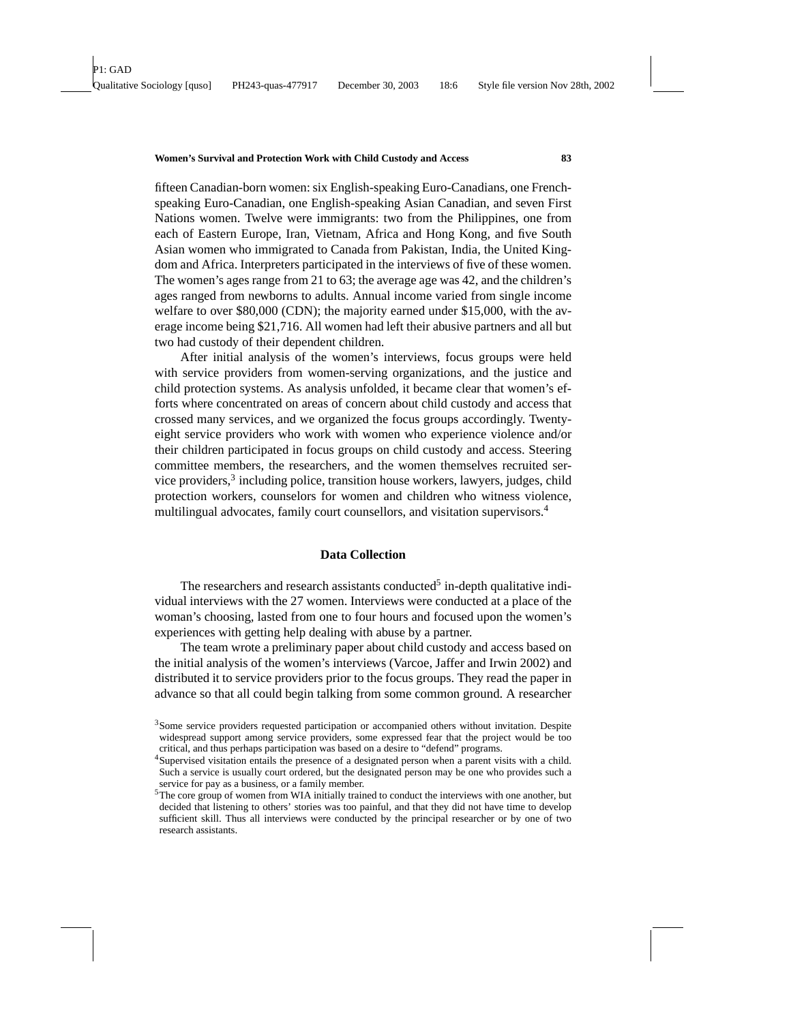fifteen Canadian-born women: six English-speaking Euro-Canadians, one Frenchspeaking Euro-Canadian, one English-speaking Asian Canadian, and seven First Nations women. Twelve were immigrants: two from the Philippines, one from each of Eastern Europe, Iran, Vietnam, Africa and Hong Kong, and five South Asian women who immigrated to Canada from Pakistan, India, the United Kingdom and Africa. Interpreters participated in the interviews of five of these women. The women's ages range from 21 to 63; the average age was 42, and the children's ages ranged from newborns to adults. Annual income varied from single income welfare to over \$80,000 (CDN); the majority earned under \$15,000, with the average income being \$21,716. All women had left their abusive partners and all but two had custody of their dependent children.

After initial analysis of the women's interviews, focus groups were held with service providers from women-serving organizations, and the justice and child protection systems. As analysis unfolded, it became clear that women's efforts where concentrated on areas of concern about child custody and access that crossed many services, and we organized the focus groups accordingly. Twentyeight service providers who work with women who experience violence and/or their children participated in focus groups on child custody and access. Steering committee members, the researchers, and the women themselves recruited service providers,<sup>3</sup> including police, transition house workers, lawyers, judges, child protection workers, counselors for women and children who witness violence, multilingual advocates, family court counsellors, and visitation supervisors.<sup>4</sup>

## **Data Collection**

The researchers and research assistants conducted<sup>5</sup> in-depth qualitative individual interviews with the 27 women. Interviews were conducted at a place of the woman's choosing, lasted from one to four hours and focused upon the women's experiences with getting help dealing with abuse by a partner.

The team wrote a preliminary paper about child custody and access based on the initial analysis of the women's interviews (Varcoe, Jaffer and Irwin 2002) and distributed it to service providers prior to the focus groups. They read the paper in advance so that all could begin talking from some common ground. A researcher

<sup>&</sup>lt;sup>3</sup>Some service providers requested participation or accompanied others without invitation. Despite widespread support among service providers, some expressed fear that the project would be too critical, and thus perhaps participation was based on a desire to "defend" programs.

<sup>4</sup>Supervised visitation entails the presence of a designated person when a parent visits with a child. Such a service is usually court ordered, but the designated person may be one who provides such a service for pay as a business, or a family member.

<sup>5</sup>The core group of women from WIA initially trained to conduct the interviews with one another, but decided that listening to others' stories was too painful, and that they did not have time to develop sufficient skill. Thus all interviews were conducted by the principal researcher or by one of two research assistants.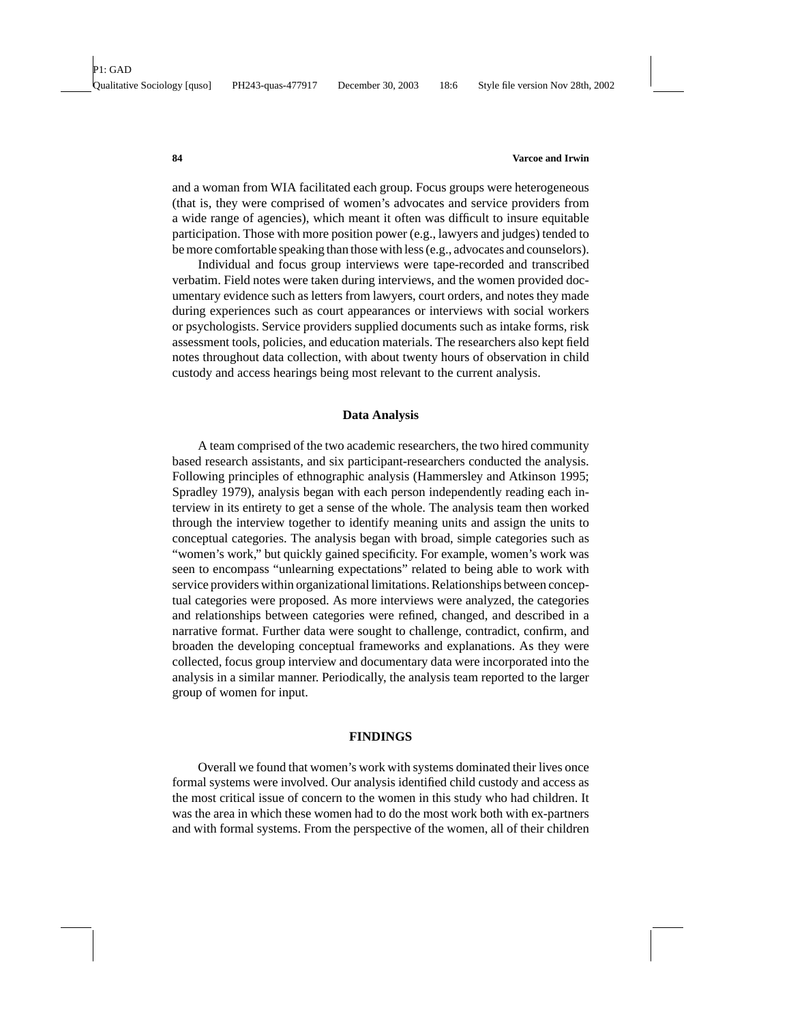and a woman from WIA facilitated each group. Focus groups were heterogeneous (that is, they were comprised of women's advocates and service providers from a wide range of agencies), which meant it often was difficult to insure equitable participation. Those with more position power (e.g., lawyers and judges) tended to be more comfortable speaking than those with less (e.g., advocates and counselors).

Individual and focus group interviews were tape-recorded and transcribed verbatim. Field notes were taken during interviews, and the women provided documentary evidence such as letters from lawyers, court orders, and notes they made during experiences such as court appearances or interviews with social workers or psychologists. Service providers supplied documents such as intake forms, risk assessment tools, policies, and education materials. The researchers also kept field notes throughout data collection, with about twenty hours of observation in child custody and access hearings being most relevant to the current analysis.

## **Data Analysis**

A team comprised of the two academic researchers, the two hired community based research assistants, and six participant-researchers conducted the analysis. Following principles of ethnographic analysis (Hammersley and Atkinson 1995; Spradley 1979), analysis began with each person independently reading each interview in its entirety to get a sense of the whole. The analysis team then worked through the interview together to identify meaning units and assign the units to conceptual categories. The analysis began with broad, simple categories such as "women's work," but quickly gained specificity. For example, women's work was seen to encompass "unlearning expectations" related to being able to work with service providers within organizational limitations. Relationships between conceptual categories were proposed. As more interviews were analyzed, the categories and relationships between categories were refined, changed, and described in a narrative format. Further data were sought to challenge, contradict, confirm, and broaden the developing conceptual frameworks and explanations. As they were collected, focus group interview and documentary data were incorporated into the analysis in a similar manner. Periodically, the analysis team reported to the larger group of women for input.

# **FINDINGS**

Overall we found that women's work with systems dominated their lives once formal systems were involved. Our analysis identified child custody and access as the most critical issue of concern to the women in this study who had children. It was the area in which these women had to do the most work both with ex-partners and with formal systems. From the perspective of the women, all of their children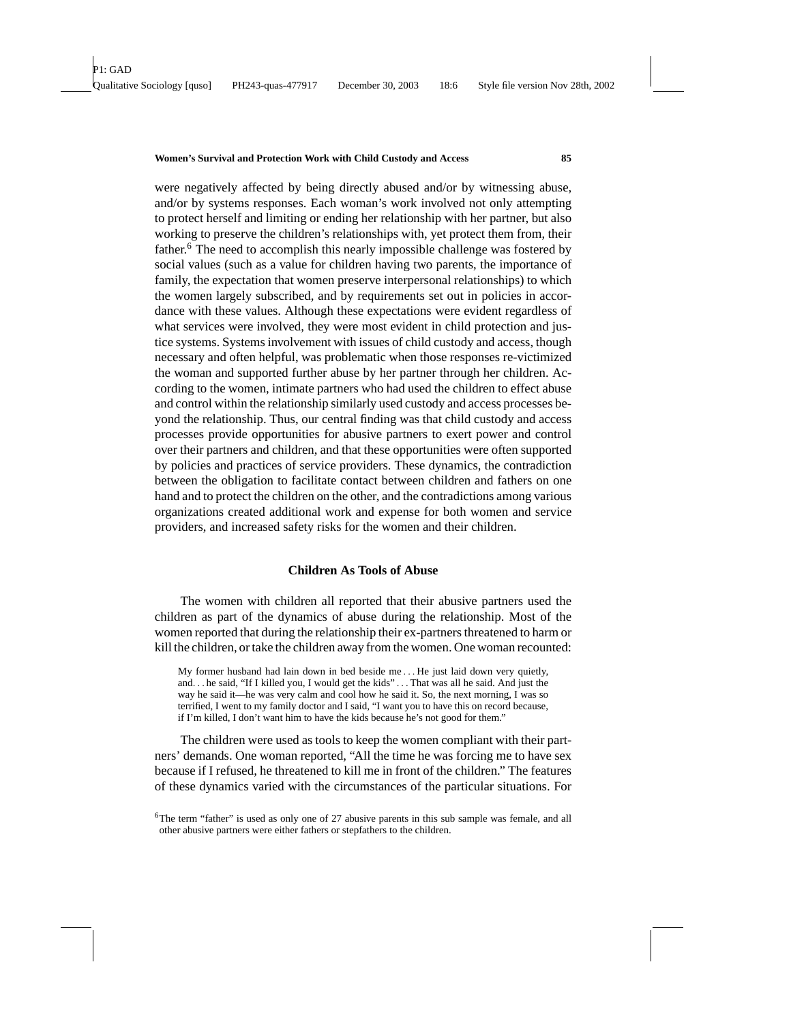were negatively affected by being directly abused and/or by witnessing abuse, and/or by systems responses. Each woman's work involved not only attempting to protect herself and limiting or ending her relationship with her partner, but also working to preserve the children's relationships with, yet protect them from, their father.<sup>6</sup> The need to accomplish this nearly impossible challenge was fostered by social values (such as a value for children having two parents, the importance of family, the expectation that women preserve interpersonal relationships) to which the women largely subscribed, and by requirements set out in policies in accordance with these values. Although these expectations were evident regardless of what services were involved, they were most evident in child protection and justice systems. Systems involvement with issues of child custody and access, though necessary and often helpful, was problematic when those responses re-victimized the woman and supported further abuse by her partner through her children. According to the women, intimate partners who had used the children to effect abuse and control within the relationship similarly used custody and access processes beyond the relationship. Thus, our central finding was that child custody and access processes provide opportunities for abusive partners to exert power and control over their partners and children, and that these opportunities were often supported by policies and practices of service providers. These dynamics, the contradiction between the obligation to facilitate contact between children and fathers on one hand and to protect the children on the other, and the contradictions among various organizations created additional work and expense for both women and service providers, and increased safety risks for the women and their children.

# **Children As Tools of Abuse**

The women with children all reported that their abusive partners used the children as part of the dynamics of abuse during the relationship. Most of the women reported that during the relationship their ex-partners threatened to harm or kill the children, or take the children away from the women. One woman recounted:

My former husband had lain down in bed beside me ... He just laid down very quietly, and... he said, "If I killed you, I would get the kids" ... That was all he said. And just the way he said it—he was very calm and cool how he said it. So, the next morning, I was so terrified, I went to my family doctor and I said, "I want you to have this on record because, if I'm killed, I don't want him to have the kids because he's not good for them."

The children were used as tools to keep the women compliant with their partners' demands. One woman reported, "All the time he was forcing me to have sex because if I refused, he threatened to kill me in front of the children." The features of these dynamics varied with the circumstances of the particular situations. For

<sup>6</sup>The term "father" is used as only one of 27 abusive parents in this sub sample was female, and all other abusive partners were either fathers or stepfathers to the children.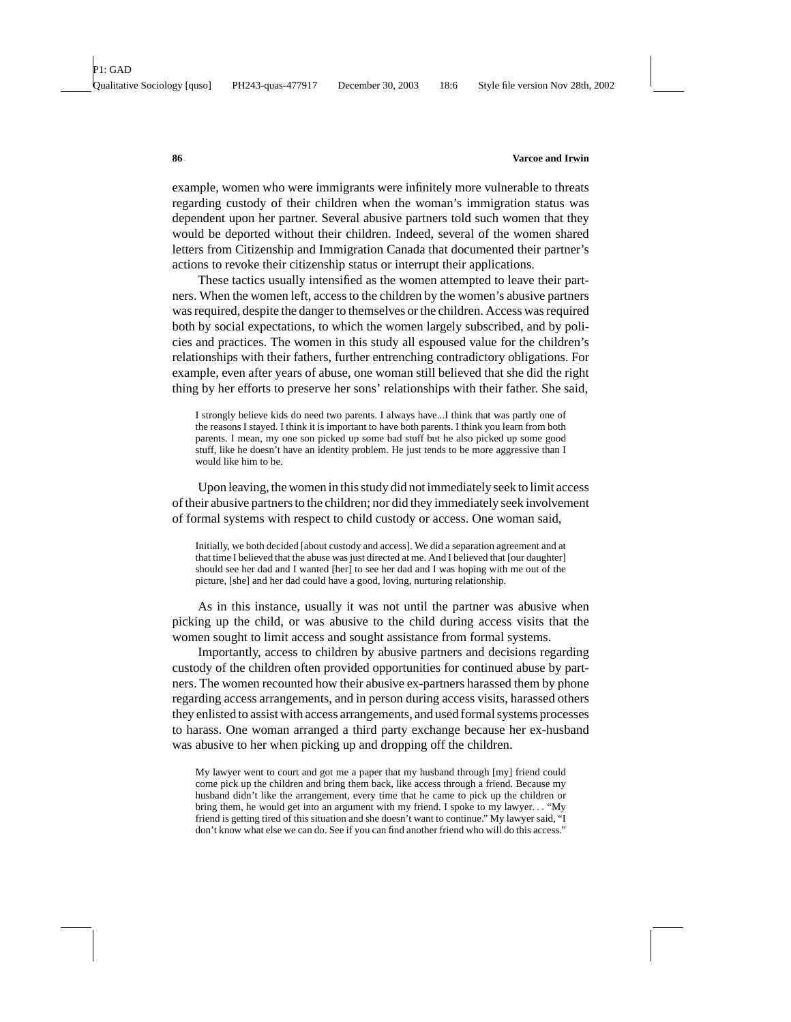example, women who were immigrants were infinitely more vulnerable to threats regarding custody of their children when the woman's immigration status was dependent upon her partner. Several abusive partners told such women that they would be deported without their children. Indeed, several of the women shared letters from Citizenship and Immigration Canada that documented their partner's actions to revoke their citizenship status or interrupt their applications.

These tactics usually intensified as the women attempted to leave their partners. When the women left, access to the children by the women's abusive partners was required, despite the danger to themselves or the children. Access was required both by social expectations, to which the women largely subscribed, and by policies and practices. The women in this study all espoused value for the children's relationships with their fathers, further entrenching contradictory obligations. For example, even after years of abuse, one woman still believed that she did the right thing by her efforts to preserve her sons' relationships with their father. She said,

I strongly believe kids do need two parents. I always have...I think that was partly one of the reasons I stayed. I think it is important to have both parents. I think you learn from both parents. I mean, my one son picked up some bad stuff but he also picked up some good stuff, like he doesn't have an identity problem. He just tends to be more aggressive than I would like him to be.

Upon leaving, the women in this study did not immediately seek to limit access of their abusive partners to the children; nor did they immediately seek involvement of formal systems with respect to child custody or access. One woman said,

Initially, we both decided [about custody and access]. We did a separation agreement and at that time I believed that the abuse was just directed at me. And I believed that [our daughter] should see her dad and I wanted [her] to see her dad and I was hoping with me out of the picture, [she] and her dad could have a good, loving, nurturing relationship.

As in this instance, usually it was not until the partner was abusive when picking up the child, or was abusive to the child during access visits that the women sought to limit access and sought assistance from formal systems.

Importantly, access to children by abusive partners and decisions regarding custody of the children often provided opportunities for continued abuse by partners. The women recounted how their abusive ex-partners harassed them by phone regarding access arrangements, and in person during access visits, harassed others they enlisted to assist with access arrangements, and used formal systems processes to harass. One woman arranged a third party exchange because her ex-husband was abusive to her when picking up and dropping off the children.

My lawyer went to court and got me a paper that my husband through [my] friend could come pick up the children and bring them back, like access through a friend. Because my husband didn't like the arrangement, every time that he came to pick up the children or bring them, he would get into an argument with my friend. I spoke to my lawyer... "My friend is getting tired of this situation and she doesn't want to continue." My lawyer said, "I don't know what else we can do. See if you can find another friend who will do this access."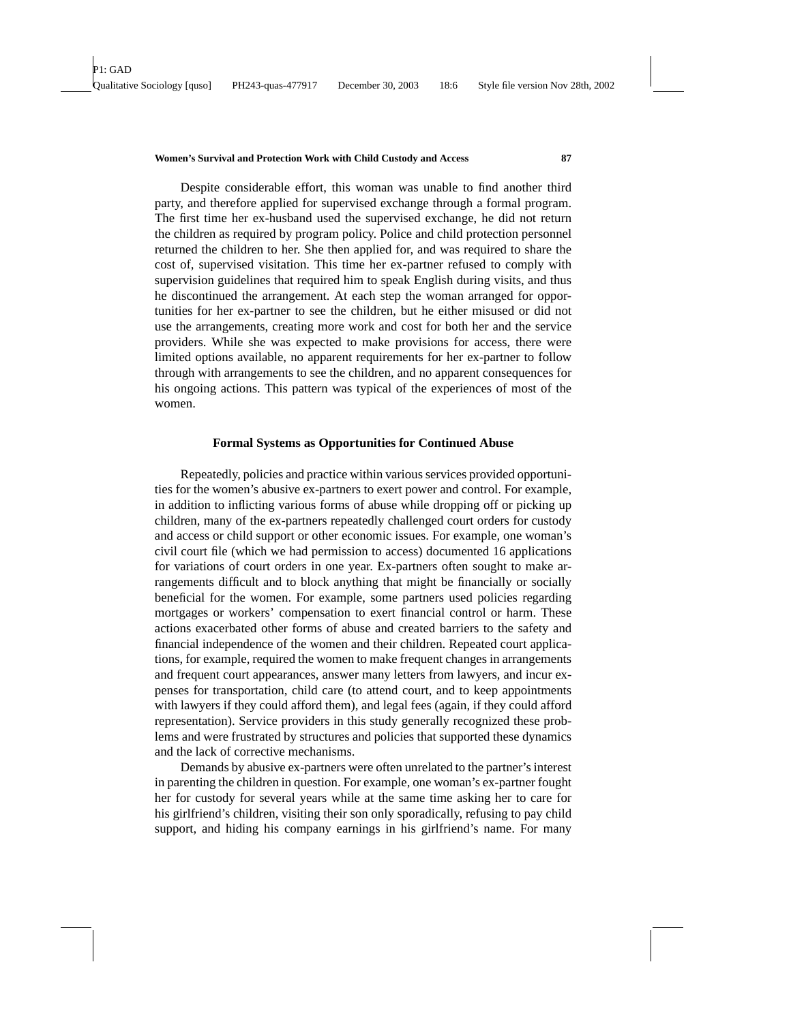Despite considerable effort, this woman was unable to find another third party, and therefore applied for supervised exchange through a formal program. The first time her ex-husband used the supervised exchange, he did not return the children as required by program policy. Police and child protection personnel returned the children to her. She then applied for, and was required to share the cost of, supervised visitation. This time her ex-partner refused to comply with supervision guidelines that required him to speak English during visits, and thus he discontinued the arrangement. At each step the woman arranged for opportunities for her ex-partner to see the children, but he either misused or did not use the arrangements, creating more work and cost for both her and the service providers. While she was expected to make provisions for access, there were limited options available, no apparent requirements for her ex-partner to follow through with arrangements to see the children, and no apparent consequences for his ongoing actions. This pattern was typical of the experiences of most of the women.

# **Formal Systems as Opportunities for Continued Abuse**

Repeatedly, policies and practice within various services provided opportunities for the women's abusive ex-partners to exert power and control. For example, in addition to inflicting various forms of abuse while dropping off or picking up children, many of the ex-partners repeatedly challenged court orders for custody and access or child support or other economic issues. For example, one woman's civil court file (which we had permission to access) documented 16 applications for variations of court orders in one year. Ex-partners often sought to make arrangements difficult and to block anything that might be financially or socially beneficial for the women. For example, some partners used policies regarding mortgages or workers' compensation to exert financial control or harm. These actions exacerbated other forms of abuse and created barriers to the safety and financial independence of the women and their children. Repeated court applications, for example, required the women to make frequent changes in arrangements and frequent court appearances, answer many letters from lawyers, and incur expenses for transportation, child care (to attend court, and to keep appointments with lawyers if they could afford them), and legal fees (again, if they could afford representation). Service providers in this study generally recognized these problems and were frustrated by structures and policies that supported these dynamics and the lack of corrective mechanisms.

Demands by abusive ex-partners were often unrelated to the partner's interest in parenting the children in question. For example, one woman's ex-partner fought her for custody for several years while at the same time asking her to care for his girlfriend's children, visiting their son only sporadically, refusing to pay child support, and hiding his company earnings in his girlfriend's name. For many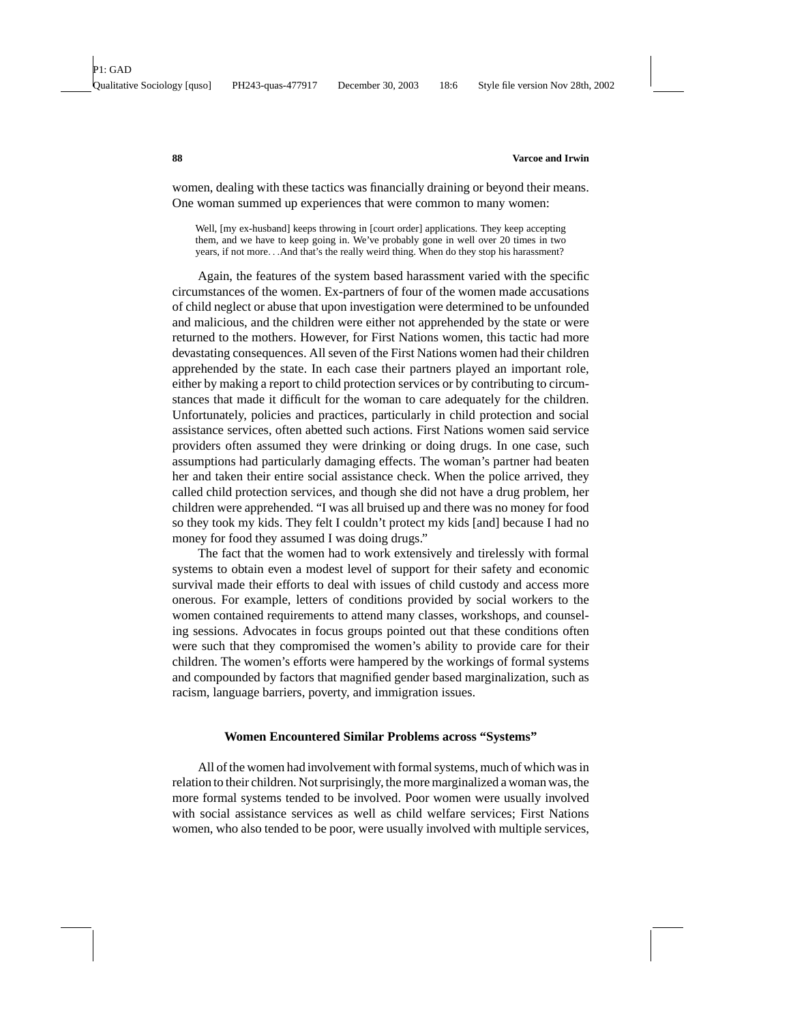women, dealing with these tactics was financially draining or beyond their means. One woman summed up experiences that were common to many women:

Well, [my ex-husband] keeps throwing in [court order] applications. They keep accepting them, and we have to keep going in. We've probably gone in well over 20 times in two years, if not more...And that's the really weird thing. When do they stop his harassment?

Again, the features of the system based harassment varied with the specific circumstances of the women. Ex-partners of four of the women made accusations of child neglect or abuse that upon investigation were determined to be unfounded and malicious, and the children were either not apprehended by the state or were returned to the mothers. However, for First Nations women, this tactic had more devastating consequences. All seven of the First Nations women had their children apprehended by the state. In each case their partners played an important role, either by making a report to child protection services or by contributing to circumstances that made it difficult for the woman to care adequately for the children. Unfortunately, policies and practices, particularly in child protection and social assistance services, often abetted such actions. First Nations women said service providers often assumed they were drinking or doing drugs. In one case, such assumptions had particularly damaging effects. The woman's partner had beaten her and taken their entire social assistance check. When the police arrived, they called child protection services, and though she did not have a drug problem, her children were apprehended. "I was all bruised up and there was no money for food so they took my kids. They felt I couldn't protect my kids [and] because I had no money for food they assumed I was doing drugs."

The fact that the women had to work extensively and tirelessly with formal systems to obtain even a modest level of support for their safety and economic survival made their efforts to deal with issues of child custody and access more onerous. For example, letters of conditions provided by social workers to the women contained requirements to attend many classes, workshops, and counseling sessions. Advocates in focus groups pointed out that these conditions often were such that they compromised the women's ability to provide care for their children. The women's efforts were hampered by the workings of formal systems and compounded by factors that magnified gender based marginalization, such as racism, language barriers, poverty, and immigration issues.

## **Women Encountered Similar Problems across "Systems"**

All of the women had involvement with formal systems, much of which was in relation to their children. Not surprisingly, the more marginalized a woman was, the more formal systems tended to be involved. Poor women were usually involved with social assistance services as well as child welfare services; First Nations women, who also tended to be poor, were usually involved with multiple services,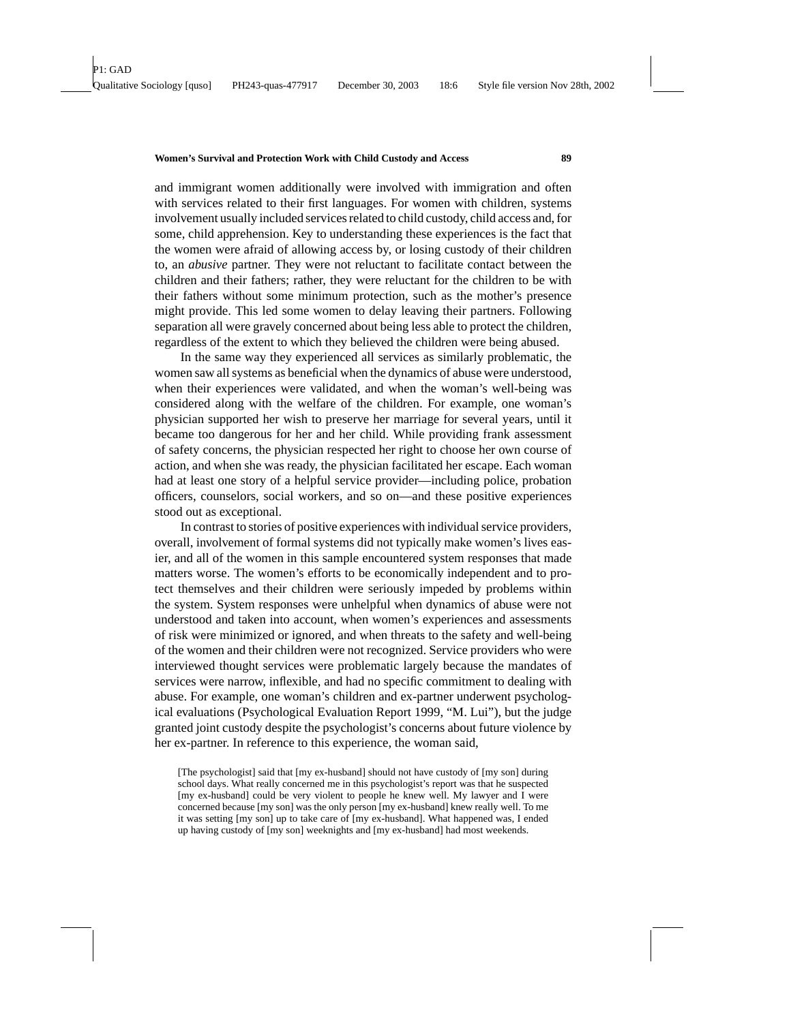and immigrant women additionally were involved with immigration and often with services related to their first languages. For women with children, systems involvement usually included services related to child custody, child access and, for some, child apprehension. Key to understanding these experiences is the fact that the women were afraid of allowing access by, or losing custody of their children to, an *abusive* partner. They were not reluctant to facilitate contact between the children and their fathers; rather, they were reluctant for the children to be with their fathers without some minimum protection, such as the mother's presence might provide. This led some women to delay leaving their partners. Following separation all were gravely concerned about being less able to protect the children, regardless of the extent to which they believed the children were being abused.

In the same way they experienced all services as similarly problematic, the women saw all systems as beneficial when the dynamics of abuse were understood, when their experiences were validated, and when the woman's well-being was considered along with the welfare of the children. For example, one woman's physician supported her wish to preserve her marriage for several years, until it became too dangerous for her and her child. While providing frank assessment of safety concerns, the physician respected her right to choose her own course of action, and when she was ready, the physician facilitated her escape. Each woman had at least one story of a helpful service provider—including police, probation officers, counselors, social workers, and so on—and these positive experiences stood out as exceptional.

In contrast to stories of positive experiences with individual service providers, overall, involvement of formal systems did not typically make women's lives easier, and all of the women in this sample encountered system responses that made matters worse. The women's efforts to be economically independent and to protect themselves and their children were seriously impeded by problems within the system. System responses were unhelpful when dynamics of abuse were not understood and taken into account, when women's experiences and assessments of risk were minimized or ignored, and when threats to the safety and well-being of the women and their children were not recognized. Service providers who were interviewed thought services were problematic largely because the mandates of services were narrow, inflexible, and had no specific commitment to dealing with abuse. For example, one woman's children and ex-partner underwent psychological evaluations (Psychological Evaluation Report 1999, "M. Lui"), but the judge granted joint custody despite the psychologist's concerns about future violence by her ex-partner. In reference to this experience, the woman said,

[The psychologist] said that [my ex-husband] should not have custody of [my son] during school days. What really concerned me in this psychologist's report was that he suspected [my ex-husband] could be very violent to people he knew well. My lawyer and I were concerned because [my son] was the only person [my ex-husband] knew really well. To me it was setting [my son] up to take care of [my ex-husband]. What happened was, I ended up having custody of [my son] weeknights and [my ex-husband] had most weekends.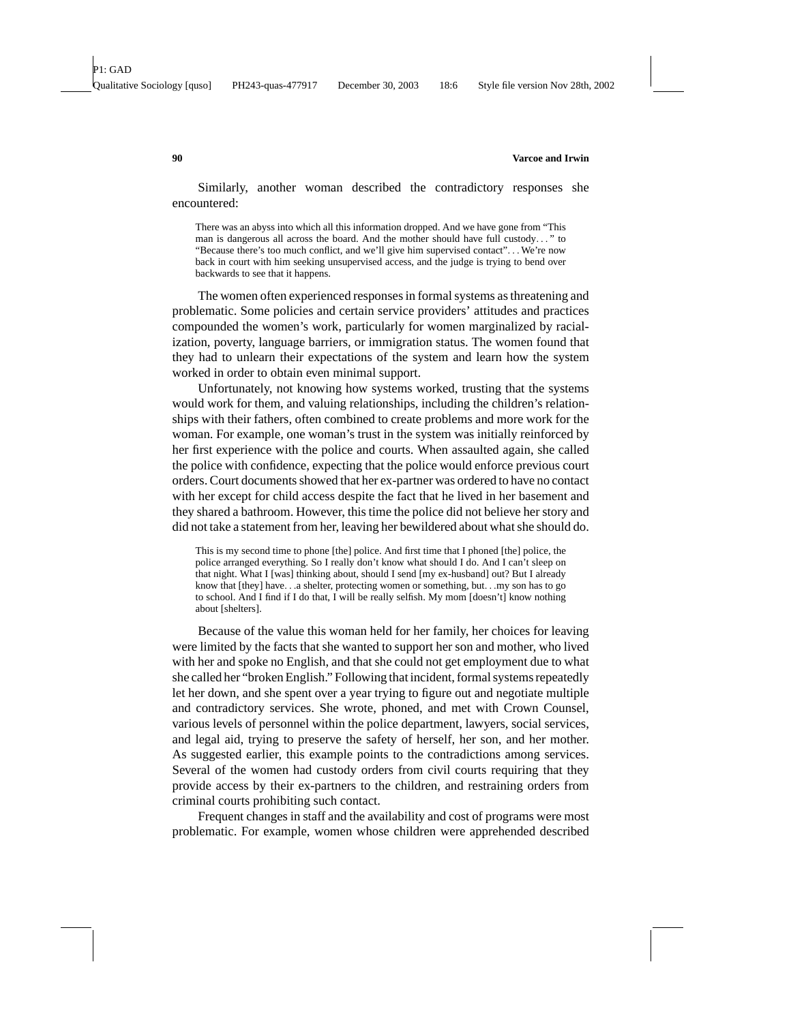Similarly, another woman described the contradictory responses she encountered:

There was an abyss into which all this information dropped. And we have gone from "This man is dangerous all across the board. And the mother should have full custody... " to "Because there's too much conflict, and we'll give him supervised contact"... We're now back in court with him seeking unsupervised access, and the judge is trying to bend over backwards to see that it happens.

The women often experienced responses in formal systems as threatening and problematic. Some policies and certain service providers' attitudes and practices compounded the women's work, particularly for women marginalized by racialization, poverty, language barriers, or immigration status. The women found that they had to unlearn their expectations of the system and learn how the system worked in order to obtain even minimal support.

Unfortunately, not knowing how systems worked, trusting that the systems would work for them, and valuing relationships, including the children's relationships with their fathers, often combined to create problems and more work for the woman. For example, one woman's trust in the system was initially reinforced by her first experience with the police and courts. When assaulted again, she called the police with confidence, expecting that the police would enforce previous court orders. Court documents showed that her ex-partner was ordered to have no contact with her except for child access despite the fact that he lived in her basement and they shared a bathroom. However, this time the police did not believe her story and did not take a statement from her, leaving her bewildered about what she should do.

This is my second time to phone [the] police. And first time that I phoned [the] police, the police arranged everything. So I really don't know what should I do. And I can't sleep on that night. What I [was] thinking about, should I send [my ex-husband] out? But I already know that [they] have...a shelter, protecting women or something, but...my son has to go to school. And I find if I do that, I will be really selfish. My mom [doesn't] know nothing about [shelters].

Because of the value this woman held for her family, her choices for leaving were limited by the facts that she wanted to support her son and mother, who lived with her and spoke no English, and that she could not get employment due to what she called her "broken English." Following that incident, formal systems repeatedly let her down, and she spent over a year trying to figure out and negotiate multiple and contradictory services. She wrote, phoned, and met with Crown Counsel, various levels of personnel within the police department, lawyers, social services, and legal aid, trying to preserve the safety of herself, her son, and her mother. As suggested earlier, this example points to the contradictions among services. Several of the women had custody orders from civil courts requiring that they provide access by their ex-partners to the children, and restraining orders from criminal courts prohibiting such contact.

Frequent changes in staff and the availability and cost of programs were most problematic. For example, women whose children were apprehended described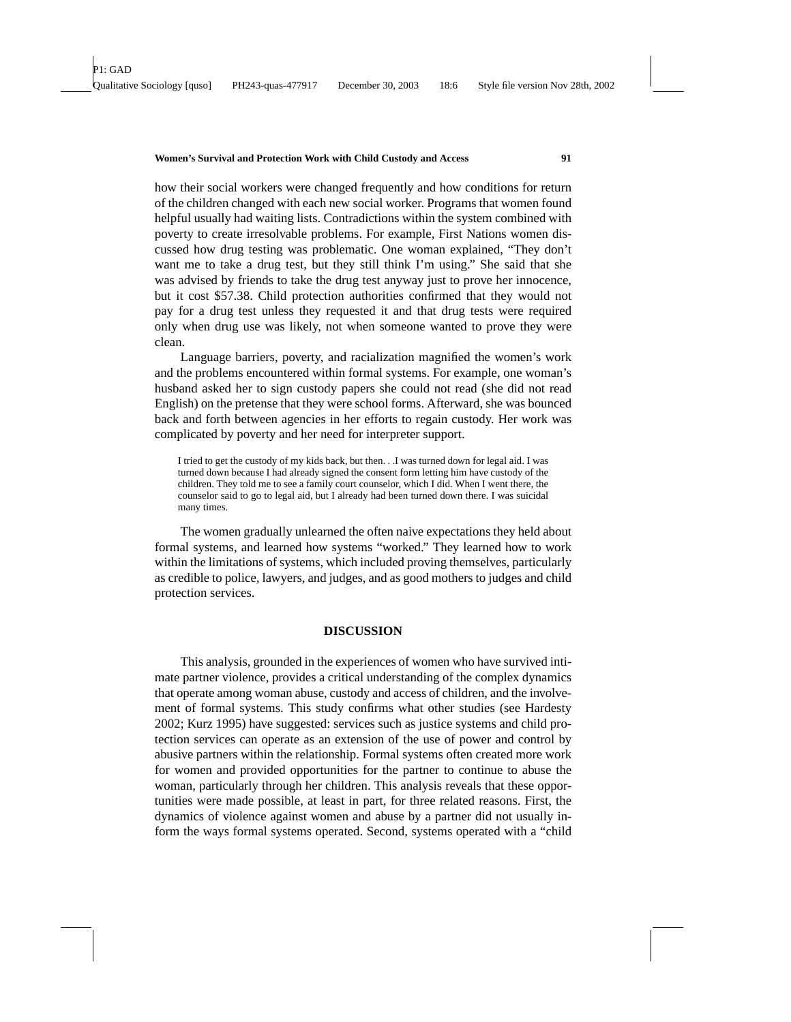how their social workers were changed frequently and how conditions for return of the children changed with each new social worker. Programs that women found helpful usually had waiting lists. Contradictions within the system combined with poverty to create irresolvable problems. For example, First Nations women discussed how drug testing was problematic. One woman explained, "They don't want me to take a drug test, but they still think I'm using." She said that she was advised by friends to take the drug test anyway just to prove her innocence, but it cost \$57.38. Child protection authorities confirmed that they would not pay for a drug test unless they requested it and that drug tests were required only when drug use was likely, not when someone wanted to prove they were clean.

Language barriers, poverty, and racialization magnified the women's work and the problems encountered within formal systems. For example, one woman's husband asked her to sign custody papers she could not read (she did not read English) on the pretense that they were school forms. Afterward, she was bounced back and forth between agencies in her efforts to regain custody. Her work was complicated by poverty and her need for interpreter support.

I tried to get the custody of my kids back, but then...I was turned down for legal aid. I was turned down because I had already signed the consent form letting him have custody of the children. They told me to see a family court counselor, which I did. When I went there, the counselor said to go to legal aid, but I already had been turned down there. I was suicidal many times.

The women gradually unlearned the often naive expectations they held about formal systems, and learned how systems "worked." They learned how to work within the limitations of systems, which included proving themselves, particularly as credible to police, lawyers, and judges, and as good mothers to judges and child protection services.

## **DISCUSSION**

This analysis, grounded in the experiences of women who have survived intimate partner violence, provides a critical understanding of the complex dynamics that operate among woman abuse, custody and access of children, and the involvement of formal systems. This study confirms what other studies (see Hardesty 2002; Kurz 1995) have suggested: services such as justice systems and child protection services can operate as an extension of the use of power and control by abusive partners within the relationship. Formal systems often created more work for women and provided opportunities for the partner to continue to abuse the woman, particularly through her children. This analysis reveals that these opportunities were made possible, at least in part, for three related reasons. First, the dynamics of violence against women and abuse by a partner did not usually inform the ways formal systems operated. Second, systems operated with a "child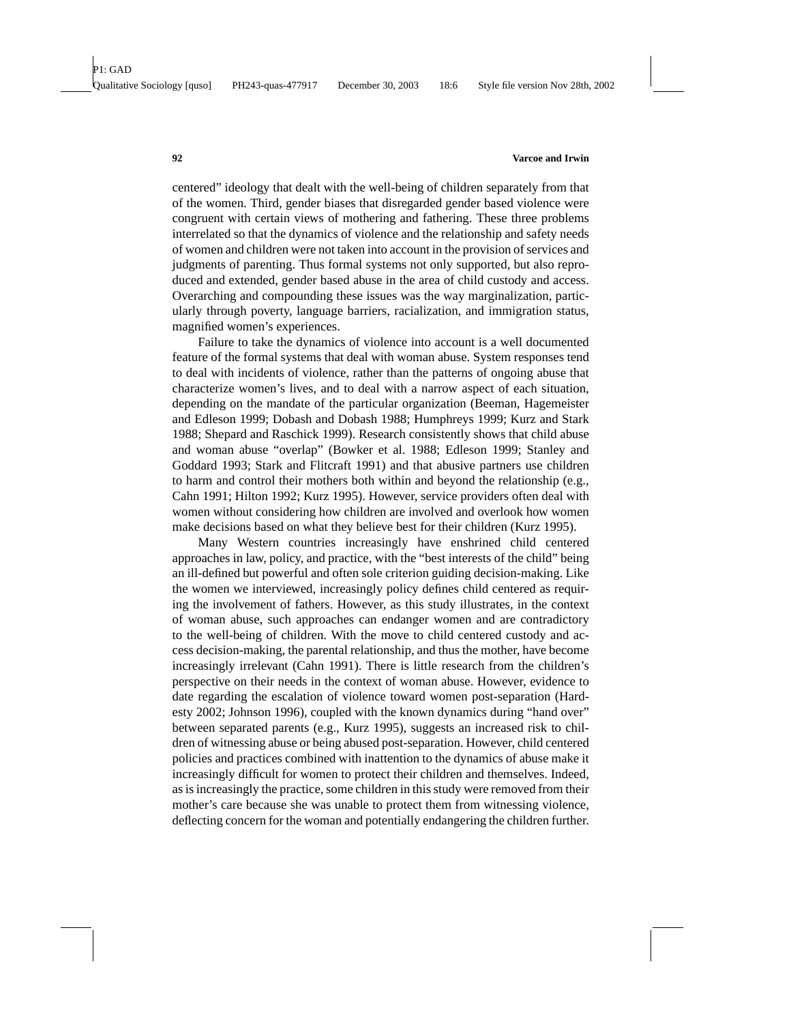centered" ideology that dealt with the well-being of children separately from that of the women. Third, gender biases that disregarded gender based violence were congruent with certain views of mothering and fathering. These three problems interrelated so that the dynamics of violence and the relationship and safety needs of women and children were not taken into account in the provision of services and judgments of parenting. Thus formal systems not only supported, but also reproduced and extended, gender based abuse in the area of child custody and access. Overarching and compounding these issues was the way marginalization, particularly through poverty, language barriers, racialization, and immigration status, magnified women's experiences.

Failure to take the dynamics of violence into account is a well documented feature of the formal systems that deal with woman abuse. System responses tend to deal with incidents of violence, rather than the patterns of ongoing abuse that characterize women's lives, and to deal with a narrow aspect of each situation, depending on the mandate of the particular organization (Beeman, Hagemeister and Edleson 1999; Dobash and Dobash 1988; Humphreys 1999; Kurz and Stark 1988; Shepard and Raschick 1999). Research consistently shows that child abuse and woman abuse "overlap" (Bowker et al. 1988; Edleson 1999; Stanley and Goddard 1993; Stark and Flitcraft 1991) and that abusive partners use children to harm and control their mothers both within and beyond the relationship (e.g., Cahn 1991; Hilton 1992; Kurz 1995). However, service providers often deal with women without considering how children are involved and overlook how women make decisions based on what they believe best for their children (Kurz 1995).

Many Western countries increasingly have enshrined child centered approaches in law, policy, and practice, with the "best interests of the child" being an ill-defined but powerful and often sole criterion guiding decision-making. Like the women we interviewed, increasingly policy defines child centered as requiring the involvement of fathers. However, as this study illustrates, in the context of woman abuse, such approaches can endanger women and are contradictory to the well-being of children. With the move to child centered custody and access decision-making, the parental relationship, and thus the mother, have become increasingly irrelevant (Cahn 1991). There is little research from the children's perspective on their needs in the context of woman abuse. However, evidence to date regarding the escalation of violence toward women post-separation (Hardesty 2002; Johnson 1996), coupled with the known dynamics during "hand over" between separated parents (e.g., Kurz 1995), suggests an increased risk to children of witnessing abuse or being abused post-separation. However, child centered policies and practices combined with inattention to the dynamics of abuse make it increasingly difficult for women to protect their children and themselves. Indeed, as is increasingly the practice, some children in this study were removed from their mother's care because she was unable to protect them from witnessing violence, deflecting concern for the woman and potentially endangering the children further.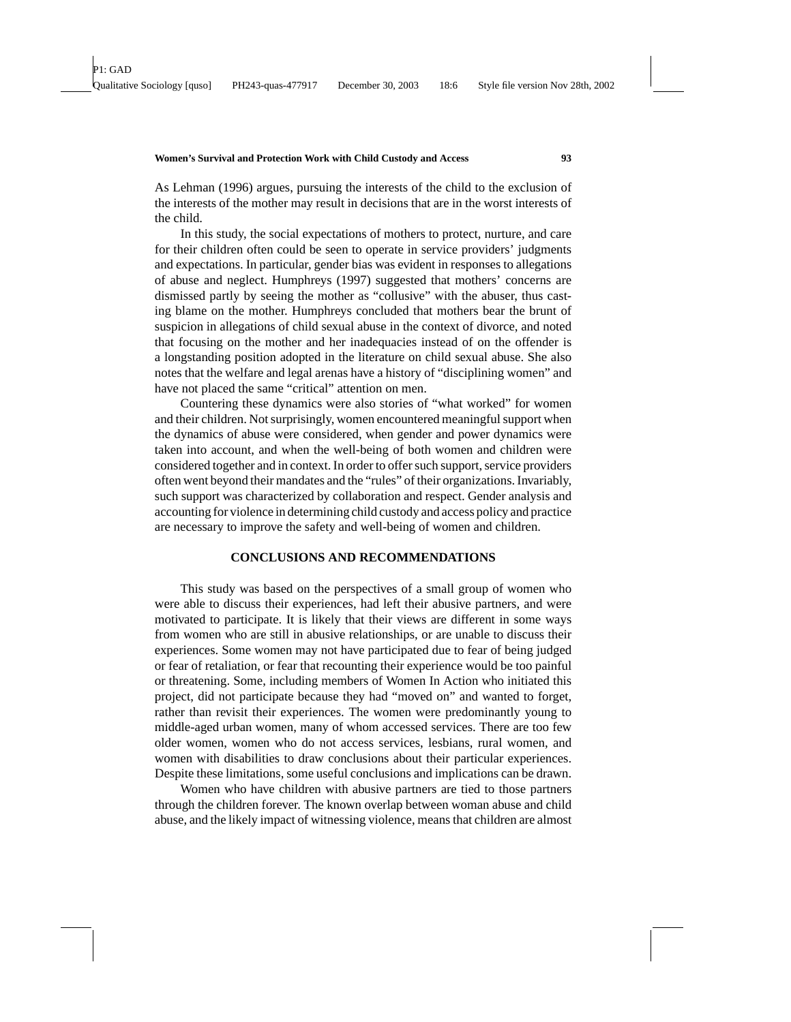As Lehman (1996) argues, pursuing the interests of the child to the exclusion of the interests of the mother may result in decisions that are in the worst interests of the child.

In this study, the social expectations of mothers to protect, nurture, and care for their children often could be seen to operate in service providers' judgments and expectations. In particular, gender bias was evident in responses to allegations of abuse and neglect. Humphreys (1997) suggested that mothers' concerns are dismissed partly by seeing the mother as "collusive" with the abuser, thus casting blame on the mother. Humphreys concluded that mothers bear the brunt of suspicion in allegations of child sexual abuse in the context of divorce, and noted that focusing on the mother and her inadequacies instead of on the offender is a longstanding position adopted in the literature on child sexual abuse. She also notes that the welfare and legal arenas have a history of "disciplining women" and have not placed the same "critical" attention on men.

Countering these dynamics were also stories of "what worked" for women and their children. Not surprisingly, women encountered meaningful support when the dynamics of abuse were considered, when gender and power dynamics were taken into account, and when the well-being of both women and children were considered together and in context. In order to offer such support, service providers often went beyond their mandates and the "rules" of their organizations. Invariably, such support was characterized by collaboration and respect. Gender analysis and accounting for violence in determining child custody and access policy and practice are necessary to improve the safety and well-being of women and children.

# **CONCLUSIONS AND RECOMMENDATIONS**

This study was based on the perspectives of a small group of women who were able to discuss their experiences, had left their abusive partners, and were motivated to participate. It is likely that their views are different in some ways from women who are still in abusive relationships, or are unable to discuss their experiences. Some women may not have participated due to fear of being judged or fear of retaliation, or fear that recounting their experience would be too painful or threatening. Some, including members of Women In Action who initiated this project, did not participate because they had "moved on" and wanted to forget, rather than revisit their experiences. The women were predominantly young to middle-aged urban women, many of whom accessed services. There are too few older women, women who do not access services, lesbians, rural women, and women with disabilities to draw conclusions about their particular experiences. Despite these limitations, some useful conclusions and implications can be drawn.

Women who have children with abusive partners are tied to those partners through the children forever. The known overlap between woman abuse and child abuse, and the likely impact of witnessing violence, means that children are almost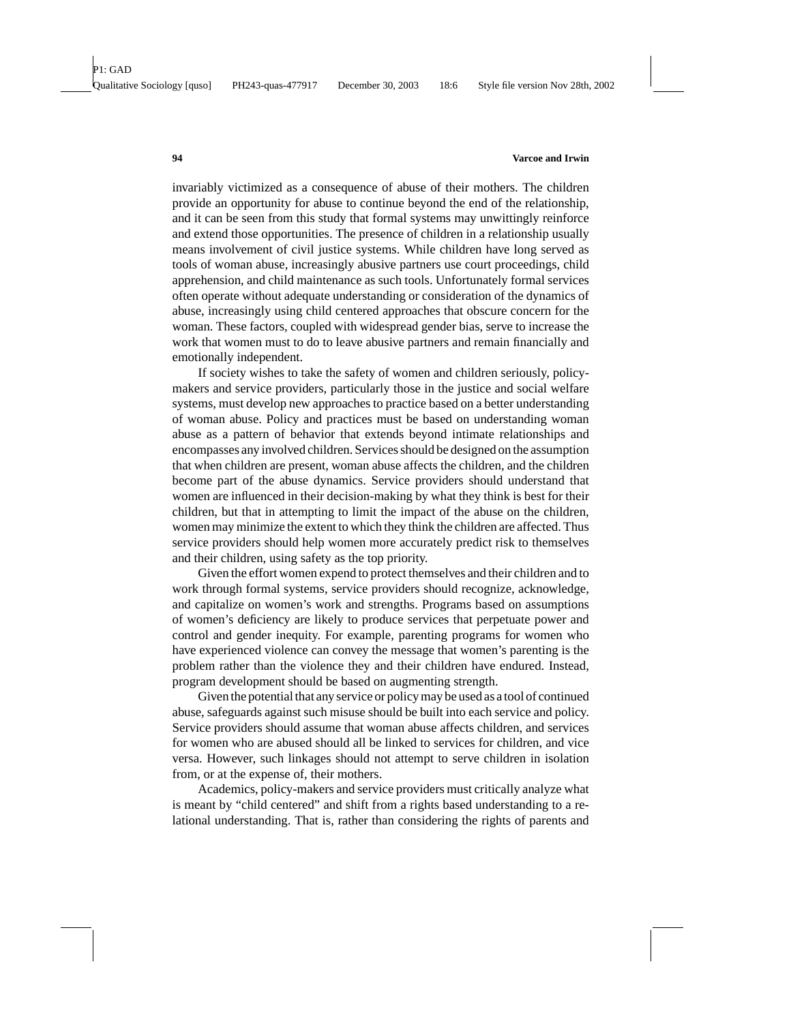invariably victimized as a consequence of abuse of their mothers. The children provide an opportunity for abuse to continue beyond the end of the relationship, and it can be seen from this study that formal systems may unwittingly reinforce and extend those opportunities. The presence of children in a relationship usually means involvement of civil justice systems. While children have long served as tools of woman abuse, increasingly abusive partners use court proceedings, child apprehension, and child maintenance as such tools. Unfortunately formal services often operate without adequate understanding or consideration of the dynamics of abuse, increasingly using child centered approaches that obscure concern for the woman. These factors, coupled with widespread gender bias, serve to increase the work that women must to do to leave abusive partners and remain financially and emotionally independent.

If society wishes to take the safety of women and children seriously, policymakers and service providers, particularly those in the justice and social welfare systems, must develop new approaches to practice based on a better understanding of woman abuse. Policy and practices must be based on understanding woman abuse as a pattern of behavior that extends beyond intimate relationships and encompasses any involved children. Services should be designed on the assumption that when children are present, woman abuse affects the children, and the children become part of the abuse dynamics. Service providers should understand that women are influenced in their decision-making by what they think is best for their children, but that in attempting to limit the impact of the abuse on the children, women may minimize the extent to which they think the children are affected. Thus service providers should help women more accurately predict risk to themselves and their children, using safety as the top priority.

Given the effort women expend to protect themselves and their children and to work through formal systems, service providers should recognize, acknowledge, and capitalize on women's work and strengths. Programs based on assumptions of women's deficiency are likely to produce services that perpetuate power and control and gender inequity. For example, parenting programs for women who have experienced violence can convey the message that women's parenting is the problem rather than the violence they and their children have endured. Instead, program development should be based on augmenting strength.

Given the potential that any service or policy may be used as a tool of continued abuse, safeguards against such misuse should be built into each service and policy. Service providers should assume that woman abuse affects children, and services for women who are abused should all be linked to services for children, and vice versa. However, such linkages should not attempt to serve children in isolation from, or at the expense of, their mothers.

Academics, policy-makers and service providers must critically analyze what is meant by "child centered" and shift from a rights based understanding to a relational understanding. That is, rather than considering the rights of parents and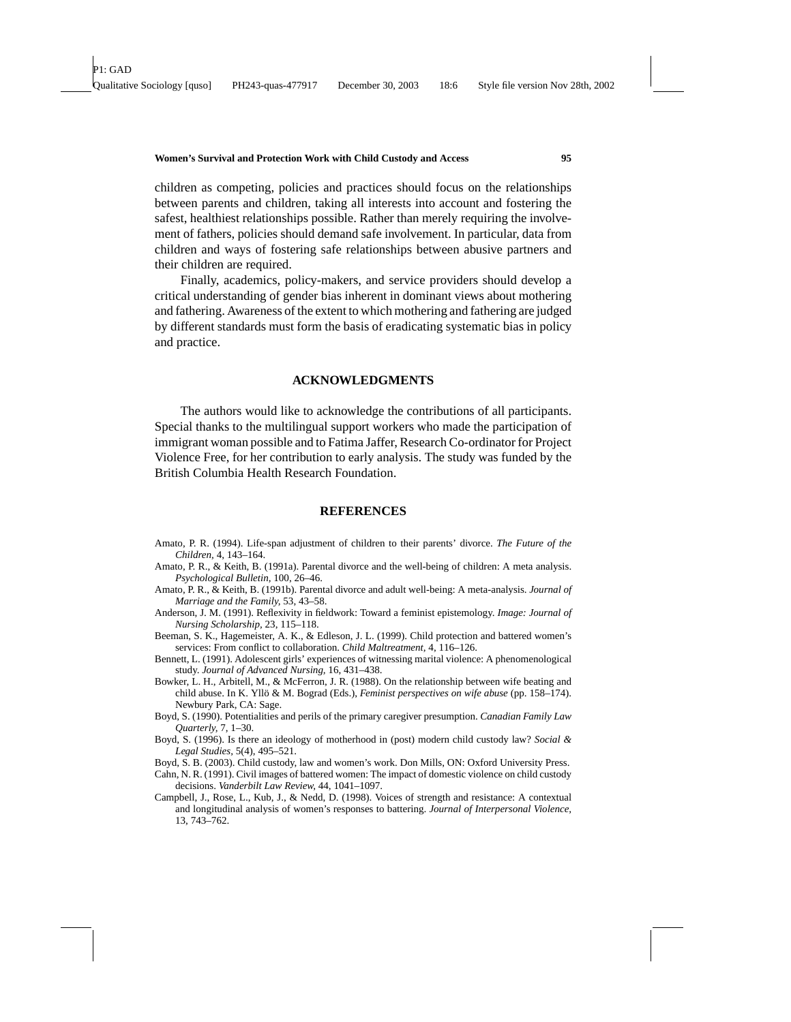children as competing, policies and practices should focus on the relationships between parents and children, taking all interests into account and fostering the safest, healthiest relationships possible. Rather than merely requiring the involvement of fathers, policies should demand safe involvement. In particular, data from children and ways of fostering safe relationships between abusive partners and their children are required.

Finally, academics, policy-makers, and service providers should develop a critical understanding of gender bias inherent in dominant views about mothering and fathering. Awareness of the extent to which mothering and fathering are judged by different standards must form the basis of eradicating systematic bias in policy and practice.

#### **ACKNOWLEDGMENTS**

The authors would like to acknowledge the contributions of all participants. Special thanks to the multilingual support workers who made the participation of immigrant woman possible and to Fatima Jaffer, Research Co-ordinator for Project Violence Free, for her contribution to early analysis. The study was funded by the British Columbia Health Research Foundation.

# **REFERENCES**

- Amato, P. R. (1994). Life-span adjustment of children to their parents' divorce. *The Future of the Children,* 4, 143–164.
- Amato, P. R., & Keith, B. (1991a). Parental divorce and the well-being of children: A meta analysis. *Psychological Bulletin,* 100, 26–46.
- Amato, P. R., & Keith, B. (1991b). Parental divorce and adult well-being: A meta-analysis. *Journal of Marriage and the Family,* 53, 43–58.
- Anderson, J. M. (1991). Reflexivity in fieldwork: Toward a feminist epistemology. *Image: Journal of Nursing Scholarship,* 23, 115–118.
- Beeman, S. K., Hagemeister, A. K., & Edleson, J. L. (1999). Child protection and battered women's services: From conflict to collaboration. *Child Maltreatment,* 4, 116–126.
- Bennett, L. (1991). Adolescent girls' experiences of witnessing marital violence: A phenomenological study. *Journal of Advanced Nursing,* 16, 431–438.
- Bowker, L. H., Arbitell, M., & McFerron, J. R. (1988). On the relationship between wife beating and child abuse. In K. Yllö & M. Bograd (Eds.), *Feminist perspectives on wife abuse* (pp. 158–174). Newbury Park, CA: Sage.
- Boyd, S. (1990). Potentialities and perils of the primary caregiver presumption. *Canadian Family Law Quarterly,* 7, 1–30.
- Boyd, S. (1996). Is there an ideology of motherhood in (post) modern child custody law? *Social & Legal Studies,* 5(4), 495–521.
- Boyd, S. B. (2003). Child custody, law and women's work. Don Mills, ON: Oxford University Press.
- Cahn, N. R. (1991). Civil images of battered women: The impact of domestic violence on child custody decisions. *Vanderbilt Law Review,* 44, 1041–1097.
- Campbell, J., Rose, L., Kub, J., & Nedd, D. (1998). Voices of strength and resistance: A contextual and longitudinal analysis of women's responses to battering. *Journal of Interpersonal Violence,* 13, 743–762.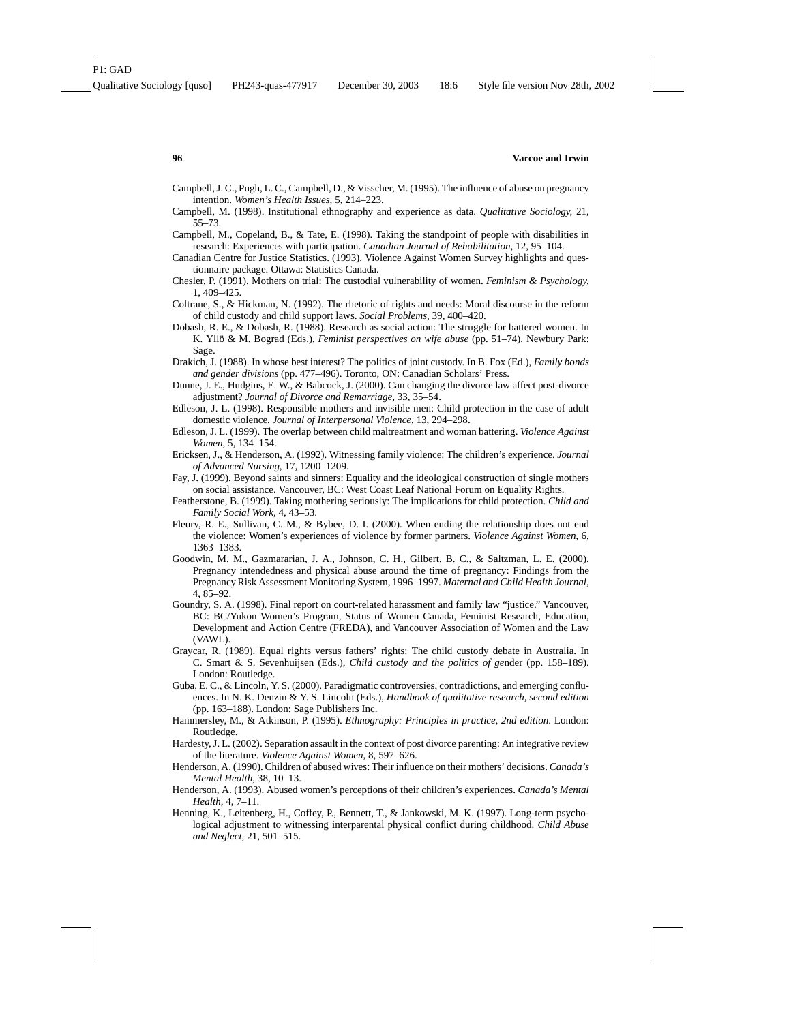- Campbell, J. C., Pugh, L. C., Campbell, D., & Visscher, M. (1995). The influence of abuse on pregnancy intention. *Women's Health Issues,* 5, 214–223.
- Campbell, M. (1998). Institutional ethnography and experience as data. *Qualitative Sociology,* 21, 55–73.
- Campbell, M., Copeland, B., & Tate, E. (1998). Taking the standpoint of people with disabilities in research: Experiences with participation. *Canadian Journal of Rehabilitation,* 12, 95–104.
- Canadian Centre for Justice Statistics. (1993). Violence Against Women Survey highlights and questionnaire package. Ottawa: Statistics Canada.
- Chesler, P. (1991). Mothers on trial: The custodial vulnerability of women. *Feminism & Psychology,* 1, 409–425.
- Coltrane, S., & Hickman, N. (1992). The rhetoric of rights and needs: Moral discourse in the reform of child custody and child support laws. *Social Problems,* 39, 400–420.
- Dobash, R. E., & Dobash, R. (1988). Research as social action: The struggle for battered women. In K. Yllö & M. Bograd (Eds.), *Feminist perspectives on wife abuse* (pp. 51–74). Newbury Park: Sage.
- Drakich, J. (1988). In whose best interest? The politics of joint custody. In B. Fox (Ed.), *Family bonds and gender divisions* (pp. 477–496). Toronto, ON: Canadian Scholars' Press.
- Dunne, J. E., Hudgins, E. W., & Babcock, J. (2000). Can changing the divorce law affect post-divorce adjustment? *Journal of Divorce and Remarriage,* 33, 35–54.
- Edleson, J. L. (1998). Responsible mothers and invisible men: Child protection in the case of adult domestic violence. *Journal of Interpersonal Violence,* 13, 294–298.
- Edleson, J. L. (1999). The overlap between child maltreatment and woman battering. *Violence Against Women,* 5, 134–154.
- Ericksen, J., & Henderson, A. (1992). Witnessing family violence: The children's experience. *Journal of Advanced Nursing,* 17, 1200–1209.
- Fay, J. (1999). Beyond saints and sinners: Equality and the ideological construction of single mothers on social assistance. Vancouver, BC: West Coast Leaf National Forum on Equality Rights.
- Featherstone, B. (1999). Taking mothering seriously: The implications for child protection. *Child and Family Social Work,* 4, 43–53.
- Fleury, R. E., Sullivan, C. M., & Bybee, D. I. (2000). When ending the relationship does not end the violence: Women's experiences of violence by former partners. *Violence Against Women,* 6, 1363–1383.
- Goodwin, M. M., Gazmararian, J. A., Johnson, C. H., Gilbert, B. C., & Saltzman, L. E. (2000). Pregnancy intendedness and physical abuse around the time of pregnancy: Findings from the Pregnancy Risk Assessment Monitoring System, 1996–1997. *Maternal and Child Health Journal,* 4, 85–92.
- Goundry, S. A. (1998). Final report on court-related harassment and family law "justice." Vancouver, BC: BC/Yukon Women's Program, Status of Women Canada, Feminist Research, Education, Development and Action Centre (FREDA), and Vancouver Association of Women and the Law (VAWL).
- Graycar, R. (1989). Equal rights versus fathers' rights: The child custody debate in Australia. In C. Smart & S. Sevenhuijsen (Eds.), *Child custody and the politics of ge*nder (pp. 158–189). London: Routledge.
- Guba, E. C., & Lincoln, Y. S. (2000). Paradigmatic controversies, contradictions, and emerging confluences. In N. K. Denzin & Y. S. Lincoln (Eds.), *Handbook of qualitative research, second edition* (pp. 163–188). London: Sage Publishers Inc.
- Hammersley, M., & Atkinson, P. (1995). *Ethnography: Principles in practice, 2nd edition*. London: Routledge.
- Hardesty, J. L. (2002). Separation assault in the context of post divorce parenting: An integrative review of the literature. *Violence Against Women,* 8, 597–626.
- Henderson, A. (1990). Children of abused wives: Their influence on their mothers' decisions. *Canada's Mental Health,* 38, 10–13.
- Henderson, A. (1993). Abused women's perceptions of their children's experiences. *Canada's Mental Health,* 4, 7–11.
- Henning, K., Leitenberg, H., Coffey, P., Bennett, T., & Jankowski, M. K. (1997). Long-term psychological adjustment to witnessing interparental physical conflict during childhood. *Child Abuse and Neglect,* 21, 501–515.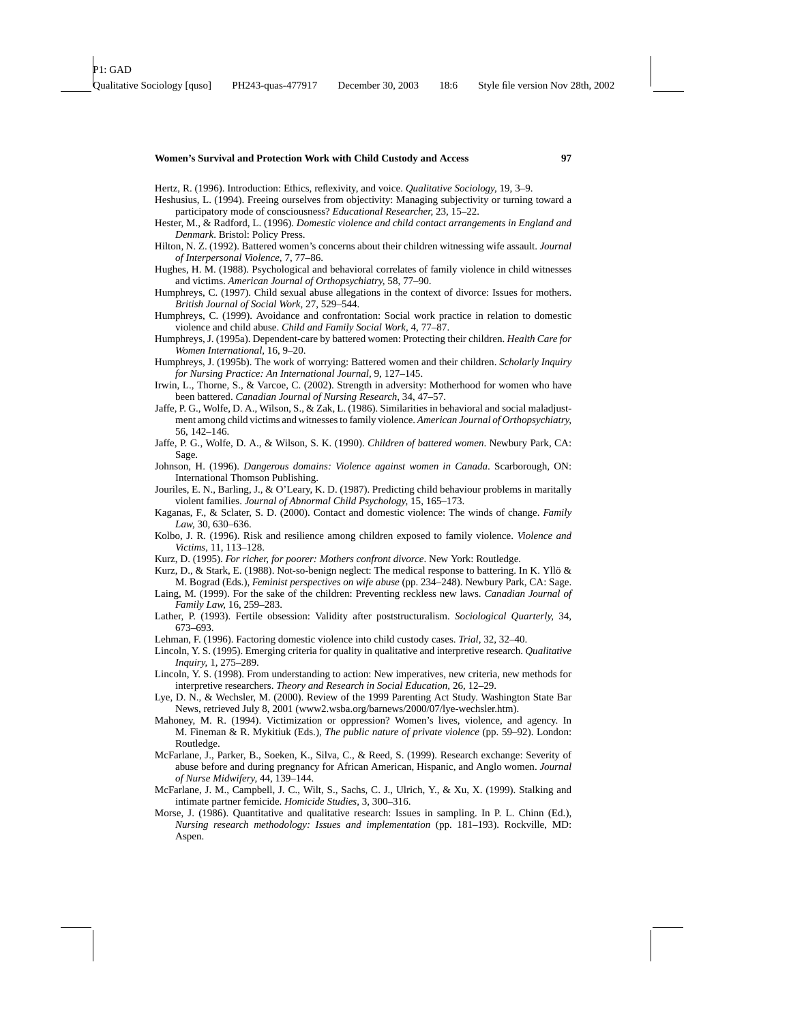Hertz, R. (1996). Introduction: Ethics, reflexivity, and voice. *Qualitative Sociology,* 19, 3–9.

- Heshusius, L. (1994). Freeing ourselves from objectivity: Managing subjectivity or turning toward a participatory mode of consciousness? *Educational Researcher,* 23, 15–22.
- Hester, M., & Radford, L. (1996). *Domestic violence and child contact arrangements in England and Denmark*. Bristol: Policy Press.
- Hilton, N. Z. (1992). Battered women's concerns about their children witnessing wife assault. *Journal of Interpersonal Violence,* 7, 77–86.
- Hughes, H. M. (1988). Psychological and behavioral correlates of family violence in child witnesses and victims. *American Journal of Orthopsychiatry,* 58, 77–90.
- Humphreys, C. (1997). Child sexual abuse allegations in the context of divorce: Issues for mothers. *British Journal of Social Work,* 27, 529–544.
- Humphreys, C. (1999). Avoidance and confrontation: Social work practice in relation to domestic violence and child abuse. *Child and Family Social Work,* 4, 77–87.
- Humphreys, J. (1995a). Dependent-care by battered women: Protecting their children. *Health Care for Women International,* 16, 9–20.
- Humphreys, J. (1995b). The work of worrying: Battered women and their children. *Scholarly Inquiry for Nursing Practice: An International Journal,* 9, 127–145.
- Irwin, L., Thorne, S., & Varcoe, C. (2002). Strength in adversity: Motherhood for women who have been battered. *Canadian Journal of Nursing Research,* 34, 47–57.
- Jaffe, P. G., Wolfe, D. A., Wilson, S., & Zak, L. (1986). Similarities in behavioral and social maladjustment among child victims and witnesses to family violence. *American Journal of Orthopsychiatry,* 56, 142–146.
- Jaffe, P. G., Wolfe, D. A., & Wilson, S. K. (1990). *Children of battered women*. Newbury Park, CA: Sage.
- Johnson, H. (1996). *Dangerous domains: Violence against women in Canada*. Scarborough, ON: International Thomson Publishing.
- Jouriles, E. N., Barling, J., & O'Leary, K. D. (1987). Predicting child behaviour problems in maritally violent families. *Journal of Abnormal Child Psychology,* 15, 165–173.
- Kaganas, F., & Sclater, S. D. (2000). Contact and domestic violence: The winds of change. *Family Law,* 30, 630–636.
- Kolbo, J. R. (1996). Risk and resilience among children exposed to family violence. *Violence and Victims,* 11, 113–128.
- Kurz, D. (1995). *For richer, for poorer: Mothers confront divorce*. New York: Routledge.
- Kurz, D., & Stark, E. (1988). Not-so-benign neglect: The medical response to battering. In K. Yllö & M. Bograd (Eds.), *Feminist perspectives on wife abuse* (pp. 234–248). Newbury Park, CA: Sage.
- Laing, M. (1999). For the sake of the children: Preventing reckless new laws. *Canadian Journal of Family Law,* 16, 259–283.
- Lather, P. (1993). Fertile obsession: Validity after poststructuralism. *Sociological Quarterly,* 34, 673–693.
- Lehman, F. (1996). Factoring domestic violence into child custody cases. *Trial,* 32, 32–40.
- Lincoln, Y. S. (1995). Emerging criteria for quality in qualitative and interpretive research. *Qualitative Inquiry,* 1, 275–289.
- Lincoln, Y. S. (1998). From understanding to action: New imperatives, new criteria, new methods for interpretive researchers. *Theory and Research in Social Education,* 26, 12–29.
- Lye, D. N., & Wechsler, M. (2000). Review of the 1999 Parenting Act Study. Washington State Bar News, retrieved July 8, 2001 (www2.wsba.org/barnews/2000/07/lye-wechsler.htm).
- Mahoney, M. R. (1994). Victimization or oppression? Women's lives, violence, and agency. In M. Fineman & R. Mykitiuk (Eds.), *The public nature of private violence* (pp. 59–92). London: Routledge.
- McFarlane, J., Parker, B., Soeken, K., Silva, C., & Reed, S. (1999). Research exchange: Severity of abuse before and during pregnancy for African American, Hispanic, and Anglo women. *Journal of Nurse Midwifery,* 44, 139–144.
- McFarlane, J. M., Campbell, J. C., Wilt, S., Sachs, C. J., Ulrich, Y., & Xu, X. (1999). Stalking and intimate partner femicide. *Homicide Studies,* 3, 300–316.
- Morse, J. (1986). Quantitative and qualitative research: Issues in sampling. In P. L. Chinn (Ed.), *Nursing research methodology: Issues and implementation* (pp. 181–193). Rockville, MD: Aspen.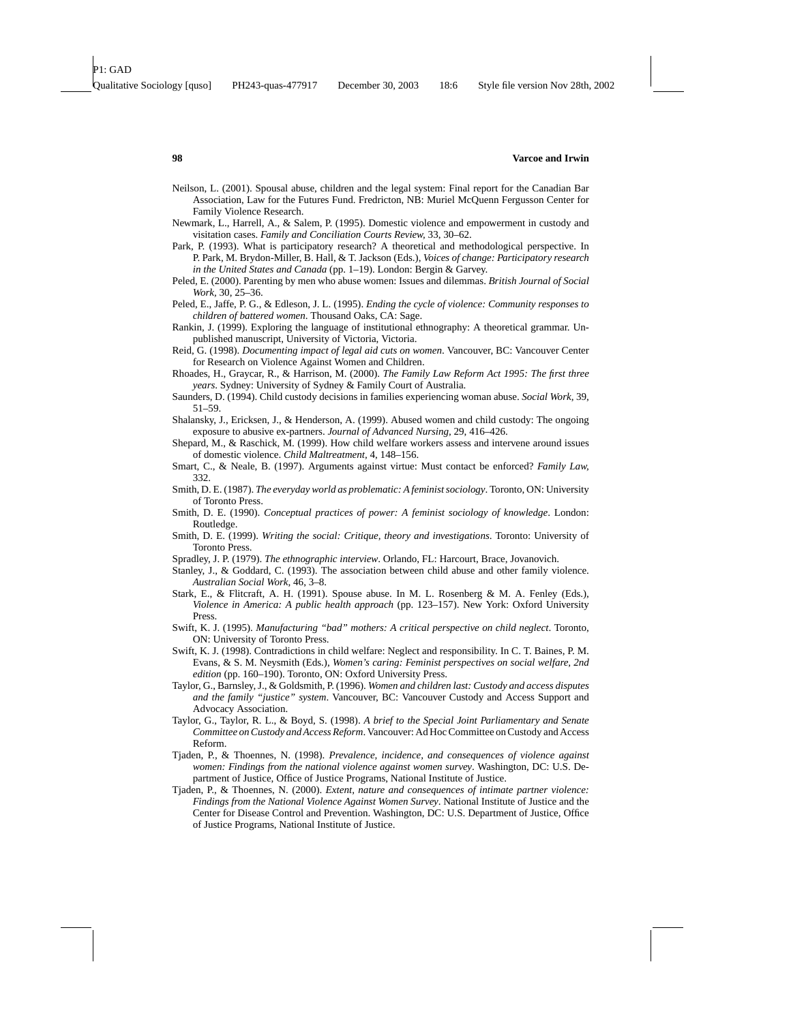- Neilson, L. (2001). Spousal abuse, children and the legal system: Final report for the Canadian Bar Association, Law for the Futures Fund. Fredricton, NB: Muriel McQuenn Fergusson Center for Family Violence Research.
- Newmark, L., Harrell, A., & Salem, P. (1995). Domestic violence and empowerment in custody and visitation cases. *Family and Conciliation Courts Review,* 33, 30–62.
- Park, P. (1993). What is participatory research? A theoretical and methodological perspective. In P. Park, M. Brydon-Miller, B. Hall, & T. Jackson (Eds.), *Voices of change: Participatory research in the United States and Canada* (pp. 1–19). London: Bergin & Garvey.
- Peled, E. (2000). Parenting by men who abuse women: Issues and dilemmas. *British Journal of Social Work,* 30, 25–36.
- Peled, E., Jaffe, P. G., & Edleson, J. L. (1995). *Ending the cycle of violence: Community responses to children of battered women*. Thousand Oaks, CA: Sage.
- Rankin, J. (1999). Exploring the language of institutional ethnography: A theoretical grammar. Unpublished manuscript, University of Victoria, Victoria.
- Reid, G. (1998). *Documenting impact of legal aid cuts on women*. Vancouver, BC: Vancouver Center for Research on Violence Against Women and Children.
- Rhoades, H., Graycar, R., & Harrison, M. (2000). *The Family Law Reform Act 1995: The first three years*. Sydney: University of Sydney & Family Court of Australia.
- Saunders, D. (1994). Child custody decisions in families experiencing woman abuse. *Social Work,* 39, 51–59.
- Shalansky, J., Ericksen, J., & Henderson, A. (1999). Abused women and child custody: The ongoing exposure to abusive ex-partners. *Journal of Advanced Nursing,* 29, 416–426.
- Shepard, M., & Raschick, M. (1999). How child welfare workers assess and intervene around issues of domestic violence. *Child Maltreatment,* 4, 148–156.
- Smart, C., & Neale, B. (1997). Arguments against virtue: Must contact be enforced? *Family Law,* 332.
- Smith, D. E. (1987). *The everyday world as problematic: A feminist sociology*. Toronto, ON: University of Toronto Press.
- Smith, D. E. (1990). *Conceptual practices of power: A feminist sociology of knowledge*. London: Routledge.
- Smith, D. E. (1999). *Writing the social: Critique, theory and investigations*. Toronto: University of Toronto Press.
- Spradley, J. P. (1979). *The ethnographic interview*. Orlando, FL: Harcourt, Brace, Jovanovich.
- Stanley, J., & Goddard, C. (1993). The association between child abuse and other family violence. *Australian Social Work,* 46, 3–8.
- Stark, E., & Flitcraft, A. H. (1991). Spouse abuse. In M. L. Rosenberg & M. A. Fenley (Eds.), *Violence in America: A public health approach* (pp. 123–157). New York: Oxford University Press.
- Swift, K. J. (1995). *Manufacturing "bad" mothers: A critical perspective on child neglect*. Toronto, ON: University of Toronto Press.
- Swift, K. J. (1998). Contradictions in child welfare: Neglect and responsibility. In C. T. Baines, P. M. Evans, & S. M. Neysmith (Eds.), *Women's caring: Feminist perspectives on social welfare, 2nd edition* (pp. 160–190). Toronto, ON: Oxford University Press.
- Taylor, G., Barnsley, J., & Goldsmith, P. (1996). *Women and children last: Custody and access disputes and the family "justice" system*. Vancouver, BC: Vancouver Custody and Access Support and Advocacy Association.
- Taylor, G., Taylor, R. L., & Boyd, S. (1998). *A brief to the Special Joint Parliamentary and Senate Committee on Custody and Access Reform*. Vancouver: Ad Hoc Committee on Custody and Access Reform.
- Tjaden, P., & Thoennes, N. (1998). *Prevalence, incidence, and consequences of violence against women: Findings from the national violence against women survey*. Washington, DC: U.S. Department of Justice, Office of Justice Programs, National Institute of Justice.
- Tjaden, P., & Thoennes, N. (2000). *Extent, nature and consequences of intimate partner violence: Findings from the National Violence Against Women Survey*. National Institute of Justice and the Center for Disease Control and Prevention. Washington, DC: U.S. Department of Justice, Office of Justice Programs, National Institute of Justice.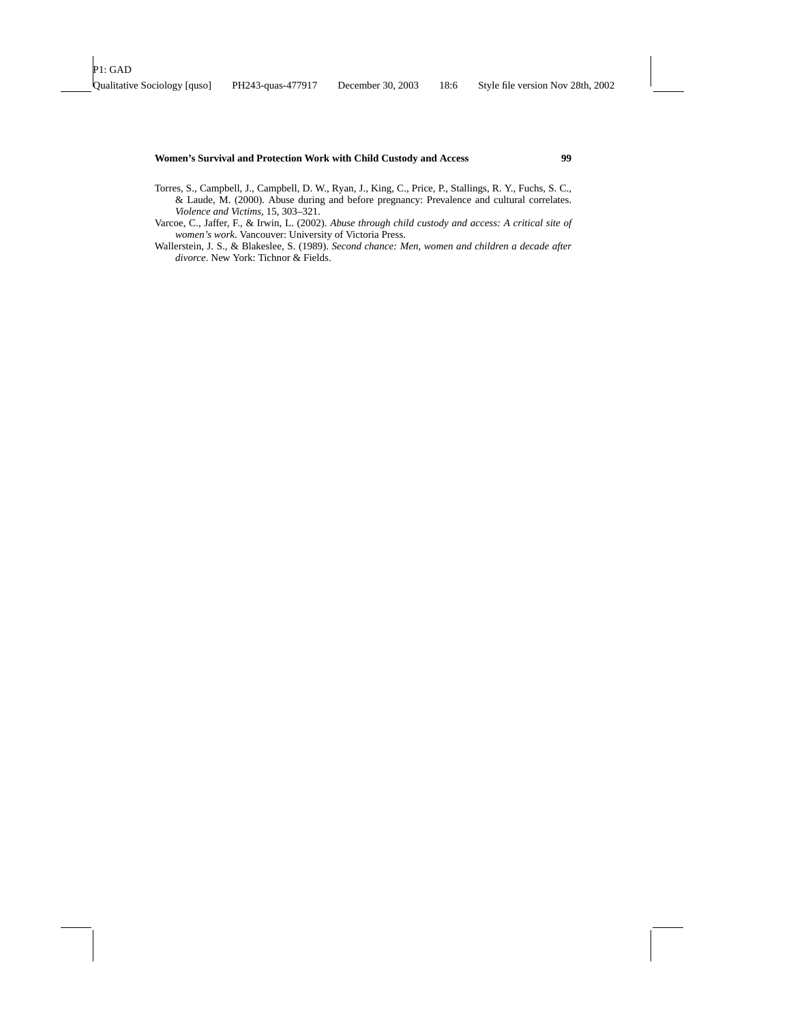- Torres, S., Campbell, J., Campbell, D. W., Ryan, J., King, C., Price, P., Stallings, R. Y., Fuchs, S. C., & Laude, M. (2000). Abuse during and before pregnancy: Prevalence and cultural correlates. *Violence and Victims,* 15, 303–321.
- Varcoe, C., Jaffer, F., & Irwin, L. (2002). *Abuse through child custody and access: A critical site of women's work*. Vancouver: University of Victoria Press.
- Wallerstein, J. S., & Blakeslee, S. (1989). *Second chance: Men, women and children a decade after divorce*. New York: Tichnor & Fields.